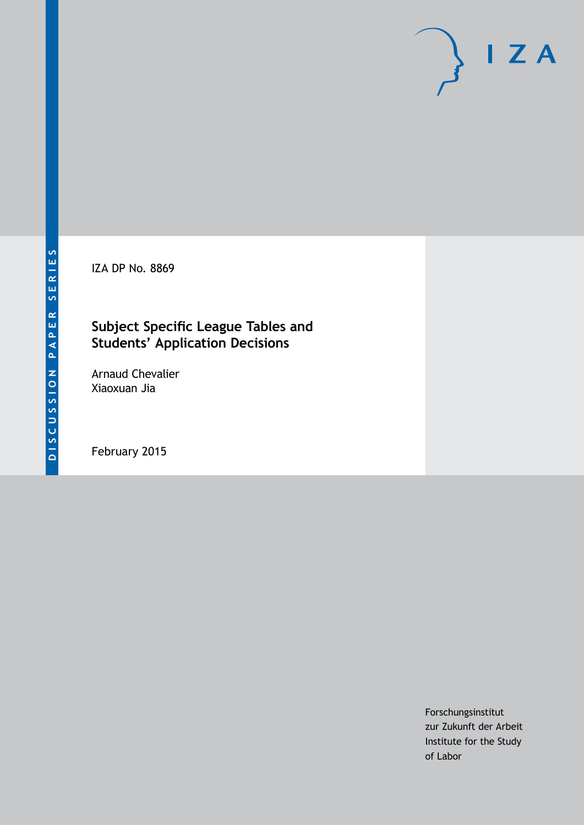IZA DP No. 8869

# **Subject Specific League Tables and Students' Application Decisions**

Arnaud Chevalier Xiaoxuan Jia

February 2015

Forschungsinstitut zur Zukunft der Arbeit Institute for the Study of Labor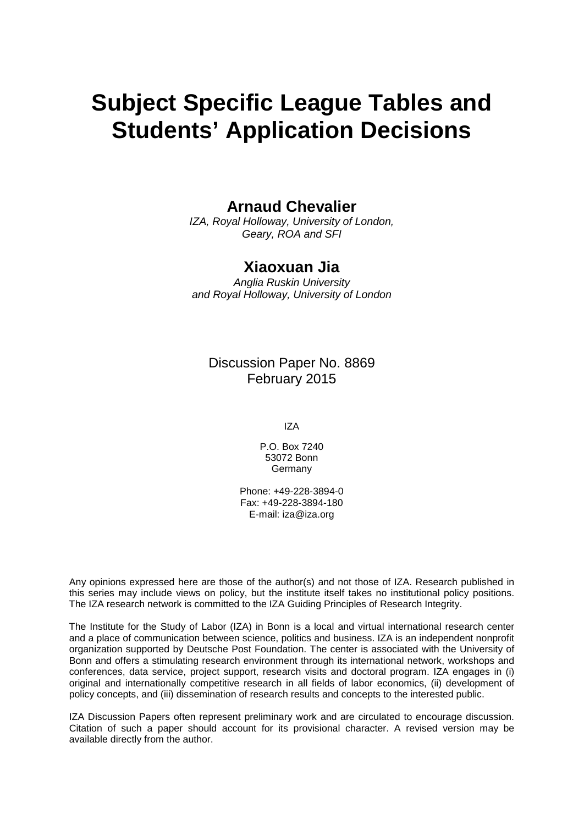# **Subject Specific League Tables and Students' Application Decisions**

## **Arnaud Chevalier**

*IZA, Royal Holloway, University of London, Geary, ROA and SFI*

## **Xiaoxuan Jia**

*Anglia Ruskin University and Royal Holloway, University of London*

Discussion Paper No. 8869 February 2015

IZA

P.O. Box 7240 53072 Bonn Germany

Phone: +49-228-3894-0 Fax: +49-228-3894-180 E-mail: [iza@iza.org](mailto:iza@iza.org)

Any opinions expressed here are those of the author(s) and not those of IZA. Research published in this series may include views on policy, but the institute itself takes no institutional policy positions. The IZA research network is committed to the IZA Guiding Principles of Research Integrity.

The Institute for the Study of Labor (IZA) in Bonn is a local and virtual international research center and a place of communication between science, politics and business. IZA is an independent nonprofit organization supported by Deutsche Post Foundation. The center is associated with the University of Bonn and offers a stimulating research environment through its international network, workshops and conferences, data service, project support, research visits and doctoral program. IZA engages in (i) original and internationally competitive research in all fields of labor economics, (ii) development of policy concepts, and (iii) dissemination of research results and concepts to the interested public.

<span id="page-1-0"></span>IZA Discussion Papers often represent preliminary work and are circulated to encourage discussion. Citation of such a paper should account for its provisional character. A revised version may be available directly from the author.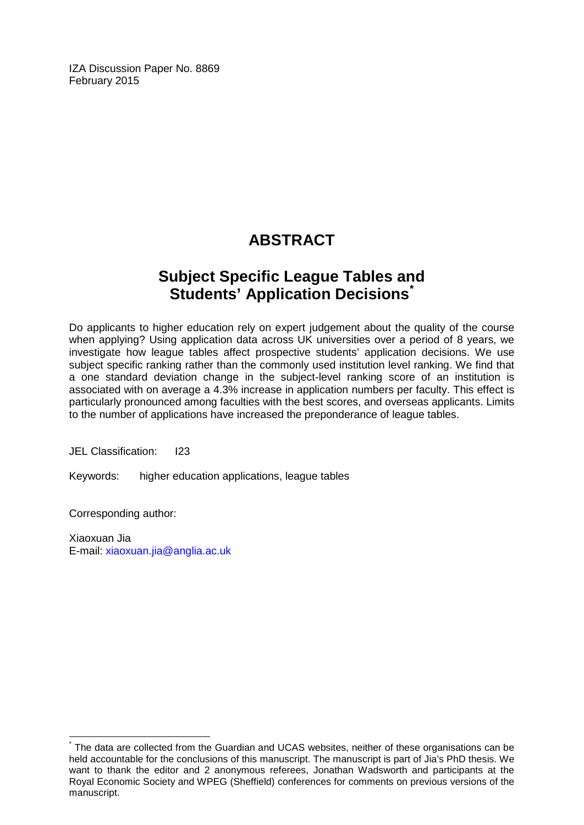IZA Discussion Paper No. 8869 February 2015

# **ABSTRACT**

# **Subject Specific League Tables and Students' Application Decisions[\\*](#page-1-0)**

Do applicants to higher education rely on expert judgement about the quality of the course when applying? Using application data across UK universities over a period of 8 years, we investigate how league tables affect prospective students' application decisions. We use subject specific ranking rather than the commonly used institution level ranking. We find that a one standard deviation change in the subject-level ranking score of an institution is associated with on average a 4.3% increase in application numbers per faculty. This effect is particularly pronounced among faculties with the best scores, and overseas applicants. Limits to the number of applications have increased the preponderance of league tables.

JEL Classification: I23

Keywords: higher education applications, league tables

Corresponding author:

Xiaoxuan Jia E-mail: [xiaoxuan.jia@anglia.ac.uk](mailto:xiaoxuan.jia@anglia.ac.uk)

The data are collected from the Guardian and UCAS websites, neither of these organisations can be held accountable for the conclusions of this manuscript. The manuscript is part of Jia's PhD thesis. We want to thank the editor and 2 anonymous referees, Jonathan Wadsworth and participants at the Royal Economic Society and WPEG (Sheffield) conferences for comments on previous versions of the manuscript.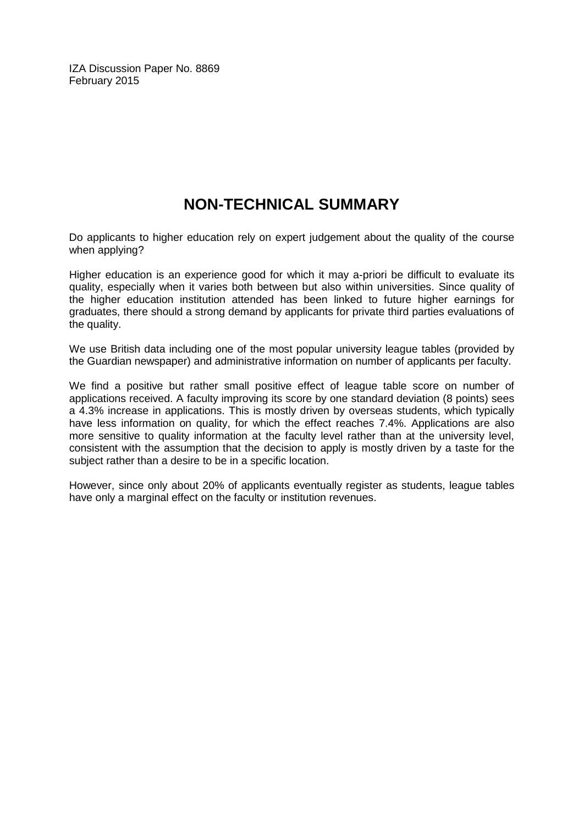IZA Discussion Paper No. 8869 February 2015

# **NON-TECHNICAL SUMMARY**

Do applicants to higher education rely on expert judgement about the quality of the course when applying?

Higher education is an experience good for which it may a-priori be difficult to evaluate its quality, especially when it varies both between but also within universities. Since quality of the higher education institution attended has been linked to future higher earnings for graduates, there should a strong demand by applicants for private third parties evaluations of the quality.

We use British data including one of the most popular university league tables (provided by the Guardian newspaper) and administrative information on number of applicants per faculty.

We find a positive but rather small positive effect of league table score on number of applications received. A faculty improving its score by one standard deviation (8 points) sees a 4.3% increase in applications. This is mostly driven by overseas students, which typically have less information on quality, for which the effect reaches 7.4%. Applications are also more sensitive to quality information at the faculty level rather than at the university level, consistent with the assumption that the decision to apply is mostly driven by a taste for the subject rather than a desire to be in a specific location.

However, since only about 20% of applicants eventually register as students, league tables have only a marginal effect on the faculty or institution revenues.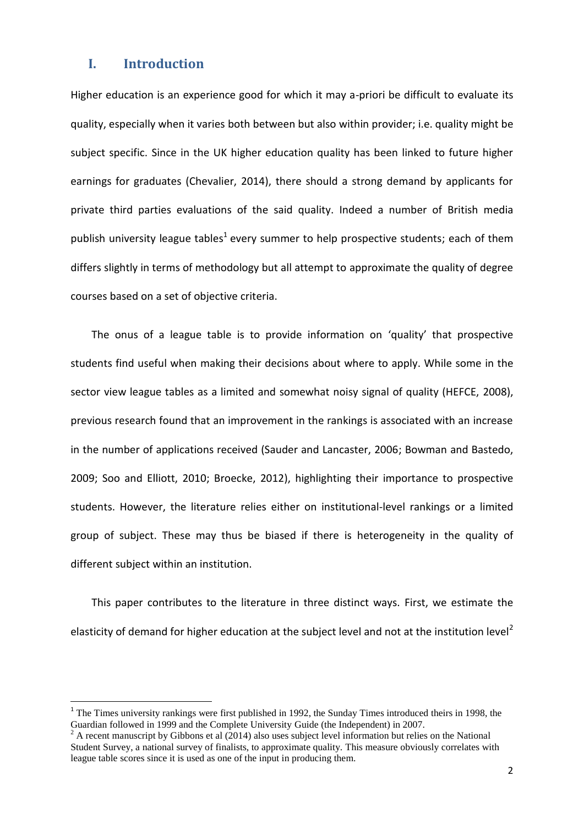### **I. Introduction**

**.** 

Higher education is an experience good for which it may a-priori be difficult to evaluate its quality, especially when it varies both between but also within provider; i.e. quality might be subject specific. Since in the UK higher education quality has been linked to future higher earnings for graduates (Chevalier, 2014), there should a strong demand by applicants for private third parties evaluations of the said quality. Indeed a number of British media publish university league tables<sup>1</sup> every summer to help prospective students; each of them differs slightly in terms of methodology but all attempt to approximate the quality of degree courses based on a set of objective criteria.

The onus of a league table is to provide information on 'quality' that prospective students find useful when making their decisions about where to apply. While some in the sector view league tables as a limited and somewhat noisy signal of quality (HEFCE, 2008), previous research found that an improvement in the rankings is associated with an increase in the number of applications received (Sauder and Lancaster, 2006; Bowman and Bastedo, 2009; Soo and Elliott, 2010; Broecke, 2012), highlighting their importance to prospective students. However, the literature relies either on institutional-level rankings or a limited group of subject. These may thus be biased if there is heterogeneity in the quality of different subject within an institution.

This paper contributes to the literature in three distinct ways. First, we estimate the elasticity of demand for higher education at the subject level and not at the institution level<sup>2</sup>

<sup>&</sup>lt;sup>1</sup> The Times university rankings were first published in 1992, the Sunday Times introduced theirs in 1998, the Guardian followed in 1999 and the Complete University Guide (the Independent) in 2007.

 $^{2}$  A recent manuscript by Gibbons et al (2014) also uses subject level information but relies on the National Student Survey, a national survey of finalists, to approximate quality. This measure obviously correlates with league table scores since it is used as one of the input in producing them.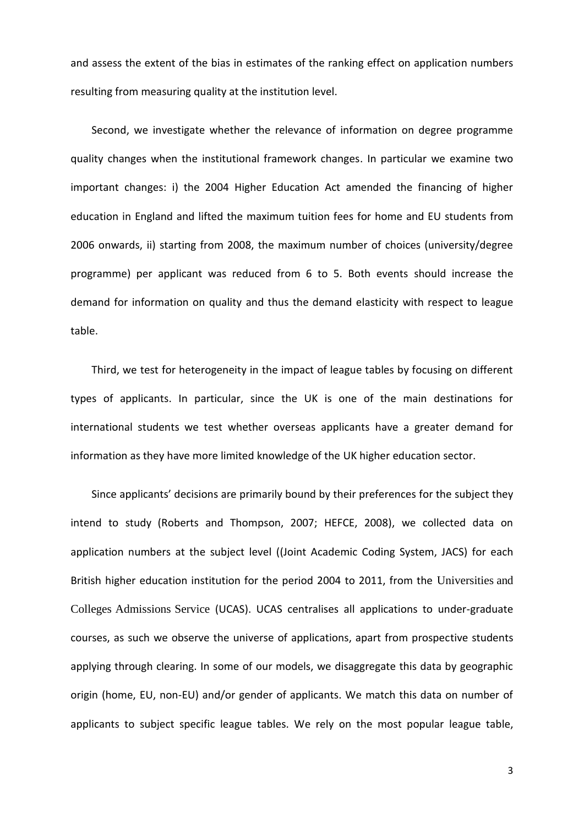and assess the extent of the bias in estimates of the ranking effect on application numbers resulting from measuring quality at the institution level.

Second, we investigate whether the relevance of information on degree programme quality changes when the institutional framework changes. In particular we examine two important changes: i) the 2004 Higher Education Act amended the financing of higher education in England and lifted the maximum tuition fees for home and EU students from 2006 onwards, ii) starting from 2008, the maximum number of choices (university/degree programme) per applicant was reduced from 6 to 5. Both events should increase the demand for information on quality and thus the demand elasticity with respect to league table.

Third, we test for heterogeneity in the impact of league tables by focusing on different types of applicants. In particular, since the UK is one of the main destinations for international students we test whether overseas applicants have a greater demand for information as they have more limited knowledge of the UK higher education sector.

Since applicants' decisions are primarily bound by their preferences for the subject they intend to study (Roberts and Thompson, 2007; HEFCE, 2008), we collected data on application numbers at the subject level ((Joint Academic Coding System, JACS) for each British higher education institution for the period 2004 to 2011, from the Universities and Colleges Admissions Service (UCAS). UCAS centralises all applications to under-graduate courses, as such we observe the universe of applications, apart from prospective students applying through clearing. In some of our models, we disaggregate this data by geographic origin (home, EU, non-EU) and/or gender of applicants. We match this data on number of applicants to subject specific league tables. We rely on the most popular league table,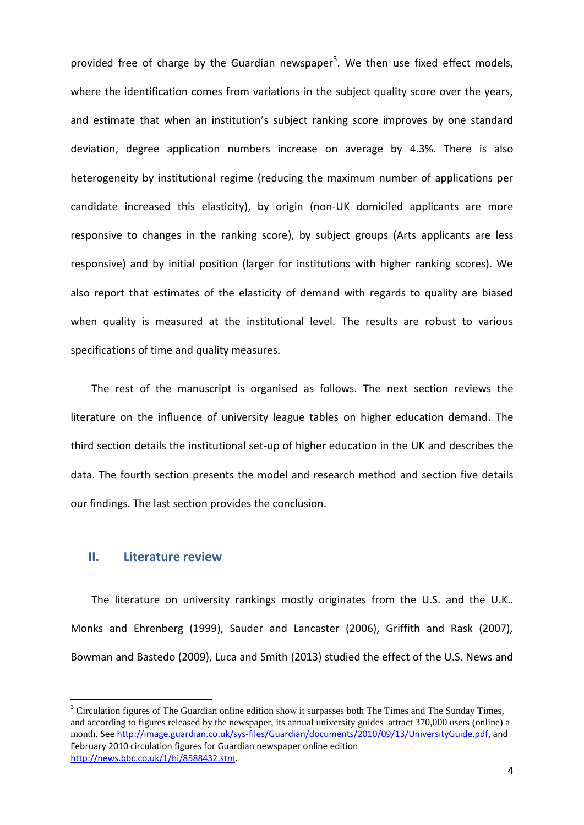provided free of charge by the Guardian newspaper<sup>3</sup>. We then use fixed effect models, where the identification comes from variations in the subject quality score over the years, and estimate that when an institution's subject ranking score improves by one standard deviation, degree application numbers increase on average by 4.3%. There is also heterogeneity by institutional regime (reducing the maximum number of applications per candidate increased this elasticity), by origin (non-UK domiciled applicants are more responsive to changes in the ranking score), by subject groups (Arts applicants are less responsive) and by initial position (larger for institutions with higher ranking scores). We also report that estimates of the elasticity of demand with regards to quality are biased when quality is measured at the institutional level. The results are robust to various specifications of time and quality measures.

The rest of the manuscript is organised as follows. The next section reviews the literature on the influence of university league tables on higher education demand. The third section details the institutional set-up of higher education in the UK and describes the data. The fourth section presents the model and research method and section five details our findings. The last section provides the conclusion.

#### **II. Literature review**

1

The literature on university rankings mostly originates from the U.S. and the U.K.. Monks and Ehrenberg (1999), Sauder and Lancaster (2006), Griffith and Rask (2007), Bowman and Bastedo (2009), Luca and Smith (2013) studied the effect of the U.S. News and

<sup>&</sup>lt;sup>3</sup> Circulation figures of The Guardian online edition show it surpasses both The Times and The Sunday Times, and according to figures released by the newspaper, its annual university guides attract 370,000 users (online) a month. See [http://image.guardian.co.uk/sys-files/Guardian/documents/2010/09/13/UniversityGuide.pdf,](http://image.guardian.co.uk/sys-files/Guardian/documents/2010/09/13/UniversityGuide.pdf) and February 2010 circulation figures for Guardian newspaper online edition [http://news.bbc.co.uk/1/hi/8588432.stm.](http://news.bbc.co.uk/1/hi/8588432.stm)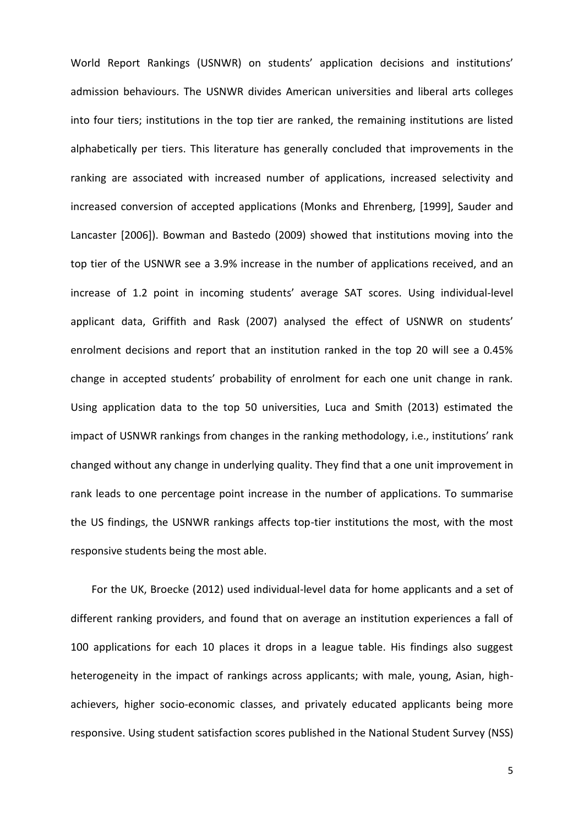World Report Rankings (USNWR) on students' application decisions and institutions' admission behaviours. The USNWR divides American universities and liberal arts colleges into four tiers; institutions in the top tier are ranked, the remaining institutions are listed alphabetically per tiers. This literature has generally concluded that improvements in the ranking are associated with increased number of applications, increased selectivity and increased conversion of accepted applications (Monks and Ehrenberg, [1999], Sauder and Lancaster [2006]). Bowman and Bastedo (2009) showed that institutions moving into the top tier of the USNWR see a 3.9% increase in the number of applications received, and an increase of 1.2 point in incoming students' average SAT scores. Using individual-level applicant data, Griffith and Rask (2007) analysed the effect of USNWR on students' enrolment decisions and report that an institution ranked in the top 20 will see a 0.45% change in accepted students' probability of enrolment for each one unit change in rank. Using application data to the top 50 universities, Luca and Smith (2013) estimated the impact of USNWR rankings from changes in the ranking methodology, i.e., institutions' rank changed without any change in underlying quality. They find that a one unit improvement in rank leads to one percentage point increase in the number of applications. To summarise the US findings, the USNWR rankings affects top-tier institutions the most, with the most responsive students being the most able.

For the UK, Broecke (2012) used individual-level data for home applicants and a set of different ranking providers, and found that on average an institution experiences a fall of 100 applications for each 10 places it drops in a league table. His findings also suggest heterogeneity in the impact of rankings across applicants; with male, young, Asian, highachievers, higher socio-economic classes, and privately educated applicants being more responsive. Using student satisfaction scores published in the National Student Survey (NSS)

5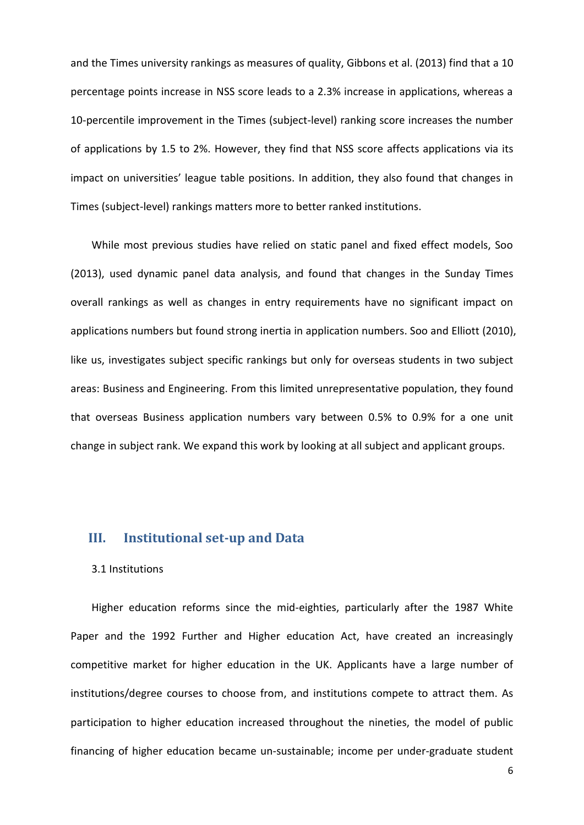and the Times university rankings as measures of quality, Gibbons et al. (2013) find that a 10 percentage points increase in NSS score leads to a 2.3% increase in applications, whereas a 10-percentile improvement in the Times (subject-level) ranking score increases the number of applications by 1.5 to 2%. However, they find that NSS score affects applications via its impact on universities' league table positions. In addition, they also found that changes in Times (subject-level) rankings matters more to better ranked institutions.

While most previous studies have relied on static panel and fixed effect models, Soo (2013), used dynamic panel data analysis, and found that changes in the Sunday Times overall rankings as well as changes in entry requirements have no significant impact on applications numbers but found strong inertia in application numbers. Soo and Elliott (2010), like us, investigates subject specific rankings but only for overseas students in two subject areas: Business and Engineering. From this limited unrepresentative population, they found that overseas Business application numbers vary between 0.5% to 0.9% for a one unit change in subject rank. We expand this work by looking at all subject and applicant groups.

#### **III. Institutional set-up and Data**

#### 3.1 Institutions

Higher education reforms since the mid-eighties, particularly after the 1987 White Paper and the 1992 Further and Higher education Act, have created an increasingly competitive market for higher education in the UK. Applicants have a large number of institutions/degree courses to choose from, and institutions compete to attract them. As participation to higher education increased throughout the nineties, the model of public financing of higher education became un-sustainable; income per under-graduate student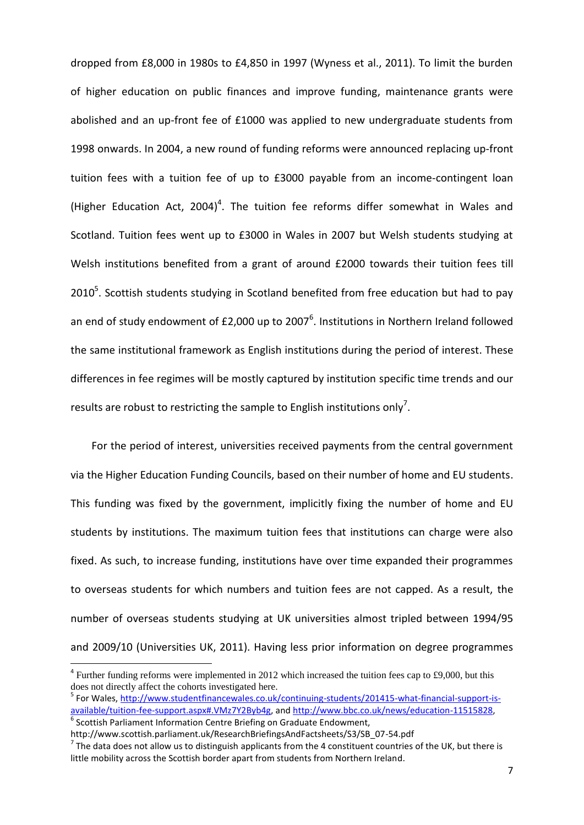dropped from £8,000 in 1980s to £4,850 in 1997 (Wyness et al., 2011). To limit the burden of higher education on public finances and improve funding, maintenance grants were abolished and an up-front fee of £1000 was applied to new undergraduate students from 1998 onwards. In 2004, a new round of funding reforms were announced replacing up-front tuition fees with a tuition fee of up to £3000 payable from an income-contingent loan (Higher Education Act, 2004)<sup>4</sup>. The tuition fee reforms differ somewhat in Wales and Scotland. Tuition fees went up to £3000 in Wales in 2007 but Welsh students studying at Welsh institutions benefited from a grant of around £2000 towards their tuition fees till 2010<sup>5</sup>. Scottish students studying in Scotland benefited from free education but had to pay an end of study endowment of £2,000 up to 2007<sup>6</sup>. Institutions in Northern Ireland followed the same institutional framework as English institutions during the period of interest. These differences in fee regimes will be mostly captured by institution specific time trends and our results are robust to restricting the sample to English institutions only<sup>7</sup>.

For the period of interest, universities received payments from the central government via the Higher Education Funding Councils, based on their number of home and EU students. This funding was fixed by the government, implicitly fixing the number of home and EU students by institutions. The maximum tuition fees that institutions can charge were also fixed. As such, to increase funding, institutions have over time expanded their programmes to overseas students for which numbers and tuition fees are not capped. As a result, the number of overseas students studying at UK universities almost tripled between 1994/95 and 2009/10 (Universities UK, 2011). Having less prior information on degree programmes

**.** 

 $4$  Further funding reforms were implemented in 2012 which increased the tuition fees cap to £9,000, but this does not directly affect the cohorts investigated here.

<sup>&</sup>lt;sup>5</sup> For Wales, [http://www.studentfinancewales.co.uk/continuing-students/201415-what-financial-support-is](http://www.studentfinancewales.co.uk/continuing-students/201415-what-financial-support-is-available/tuition-fee-support.aspx#.VMz7Y2Byb4g)[available/tuition-fee-support.aspx#.VMz7Y2Byb4g,](http://www.studentfinancewales.co.uk/continuing-students/201415-what-financial-support-is-available/tuition-fee-support.aspx#.VMz7Y2Byb4g) an[d http://www.bbc.co.uk/news/education-11515828,](http://www.bbc.co.uk/news/education-11515828) <sup>6</sup> Scottish Parliament Information Centre Briefing on Graduate Endowment,

http://www.scottish.parliament.uk/ResearchBriefingsAndFactsheets/S3/SB\_07-54.pdf

 $^7$  The data does not allow us to distinguish applicants from the 4 constituent countries of the UK, but there is little mobility across the Scottish border apart from students from Northern Ireland.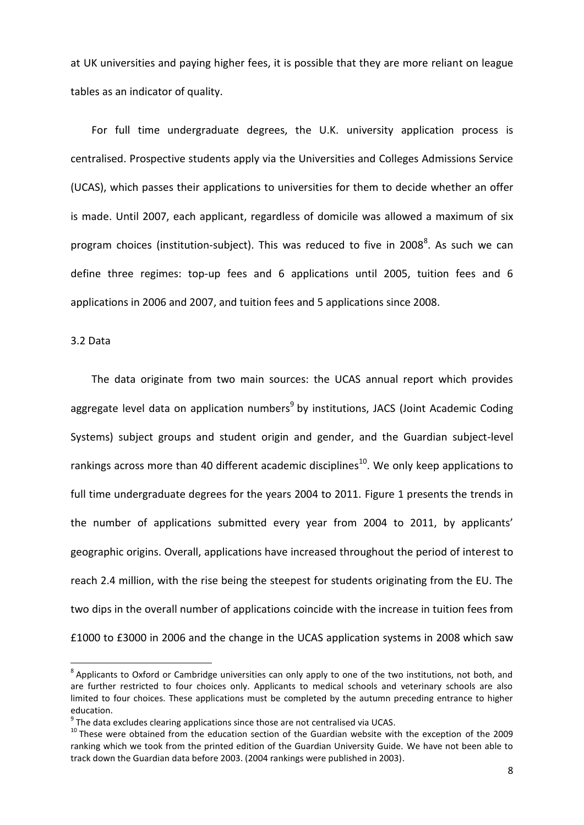at UK universities and paying higher fees, it is possible that they are more reliant on league tables as an indicator of quality.

For full time undergraduate degrees, the U.K. university application process is centralised. Prospective students apply via the Universities and Colleges Admissions Service (UCAS), which passes their applications to universities for them to decide whether an offer is made. Until 2007, each applicant, regardless of domicile was allowed a maximum of six program choices (institution-subject). This was reduced to five in 2008<sup>8</sup>. As such we can define three regimes: top-up fees and 6 applications until 2005, tuition fees and 6 applications in 2006 and 2007, and tuition fees and 5 applications since 2008.

#### 3.2 Data

**.** 

The data originate from two main sources: the UCAS annual report which provides aggregate level data on application numbers<sup>9</sup> by institutions, JACS (Joint Academic Coding Systems) subject groups and student origin and gender, and the Guardian subject-level rankings across more than 40 different academic disciplines<sup>10</sup>. We only keep applications to full time undergraduate degrees for the years 2004 to 2011. Figure 1 presents the trends in the number of applications submitted every year from 2004 to 2011, by applicants' geographic origins. Overall, applications have increased throughout the period of interest to reach 2.4 million, with the rise being the steepest for students originating from the EU. The two dips in the overall number of applications coincide with the increase in tuition fees from £1000 to £3000 in 2006 and the change in the UCAS application systems in 2008 which saw

 $^8$  Applicants to Oxford or Cambridge universities can only apply to one of the two institutions, not both, and are further restricted to four choices only. Applicants to medical schools and veterinary schools are also limited to four choices. These applications must be completed by the autumn preceding entrance to higher education.

 $9$  The data excludes clearing applications since those are not centralised via UCAS.

<sup>&</sup>lt;sup>10</sup> These were obtained from the education section of the Guardian website with the exception of the 2009 ranking which we took from the printed edition of the Guardian University Guide. We have not been able to track down the Guardian data before 2003. (2004 rankings were published in 2003).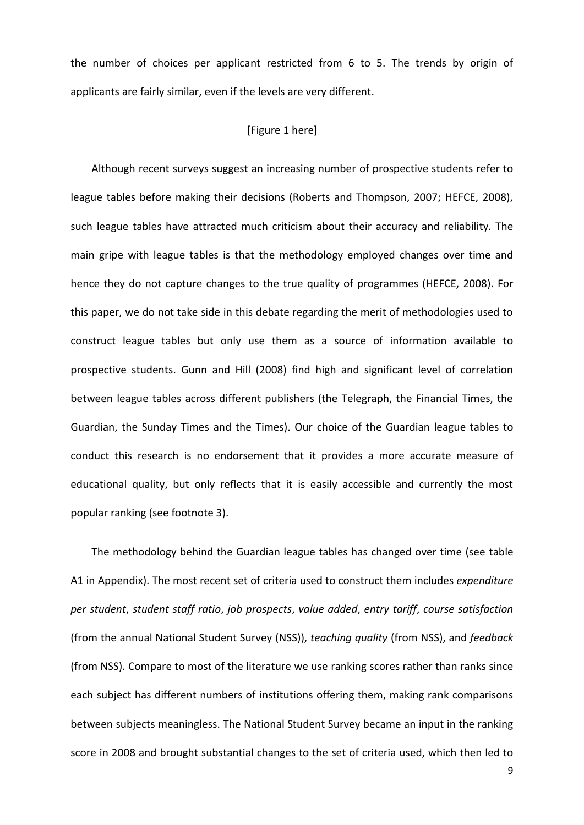the number of choices per applicant restricted from 6 to 5. The trends by origin of applicants are fairly similar, even if the levels are very different.

#### [Figure 1 here]

Although recent surveys suggest an increasing number of prospective students refer to league tables before making their decisions (Roberts and Thompson, 2007; HEFCE, 2008), such league tables have attracted much criticism about their accuracy and reliability. The main gripe with league tables is that the methodology employed changes over time and hence they do not capture changes to the true quality of programmes (HEFCE, 2008). For this paper, we do not take side in this debate regarding the merit of methodologies used to construct league tables but only use them as a source of information available to prospective students. Gunn and Hill (2008) find high and significant level of correlation between league tables across different publishers (the Telegraph, the Financial Times, the Guardian, the Sunday Times and the Times). Our choice of the Guardian league tables to conduct this research is no endorsement that it provides a more accurate measure of educational quality, but only reflects that it is easily accessible and currently the most popular ranking (see footnote 3).

The methodology behind the Guardian league tables has changed over time (see table A1 in Appendix). The most recent set of criteria used to construct them includes *expenditure per student*, *student staff ratio*, *job prospects*, *value added*, *entry tariff*, *course satisfaction* (from the annual National Student Survey (NSS)), *teaching quality* (from NSS), and *feedback* (from NSS). Compare to most of the literature we use ranking scores rather than ranks since each subject has different numbers of institutions offering them, making rank comparisons between subjects meaningless. The National Student Survey became an input in the ranking score in 2008 and brought substantial changes to the set of criteria used, which then led to

9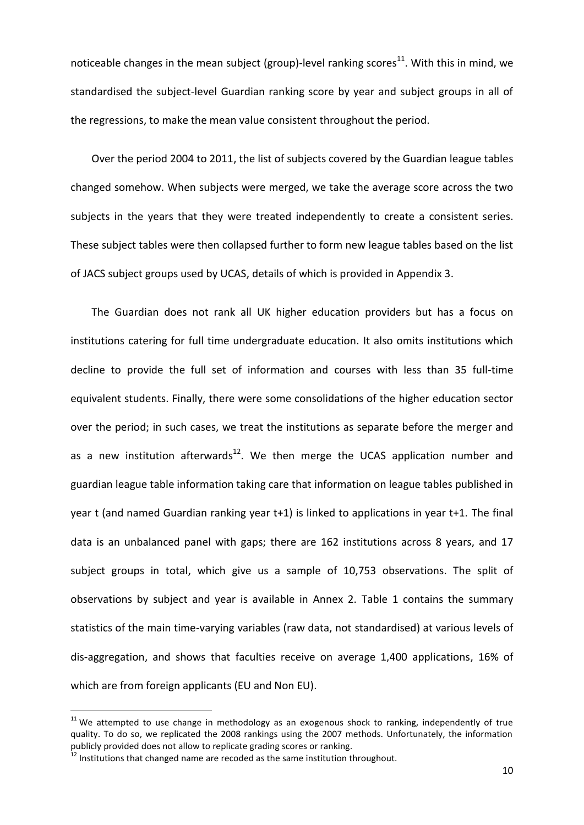noticeable changes in the mean subject (group)-level ranking scores<sup>11</sup>. With this in mind, we standardised the subject-level Guardian ranking score by year and subject groups in all of the regressions, to make the mean value consistent throughout the period.

Over the period 2004 to 2011, the list of subjects covered by the Guardian league tables changed somehow. When subjects were merged, we take the average score across the two subjects in the years that they were treated independently to create a consistent series. These subject tables were then collapsed further to form new league tables based on the list of JACS subject groups used by UCAS, details of which is provided in Appendix 3.

The Guardian does not rank all UK higher education providers but has a focus on institutions catering for full time undergraduate education. It also omits institutions which decline to provide the full set of information and courses with less than 35 full-time equivalent students. Finally, there were some consolidations of the higher education sector over the period; in such cases, we treat the institutions as separate before the merger and as a new institution afterwards<sup>12</sup>. We then merge the UCAS application number and guardian league table information taking care that information on league tables published in year t (and named Guardian ranking year t+1) is linked to applications in year t+1. The final data is an unbalanced panel with gaps; there are 162 institutions across 8 years, and 17 subject groups in total, which give us a sample of 10,753 observations. The split of observations by subject and year is available in Annex 2. Table 1 contains the summary statistics of the main time-varying variables (raw data, not standardised) at various levels of dis-aggregation, and shows that faculties receive on average 1,400 applications, 16% of which are from foreign applicants (EU and Non EU).

**.** 

 $11$  We attempted to use change in methodology as an exogenous shock to ranking, independently of true quality. To do so, we replicated the 2008 rankings using the 2007 methods. Unfortunately, the information publicly provided does not allow to replicate grading scores or ranking.

 $12$  Institutions that changed name are recoded as the same institution throughout.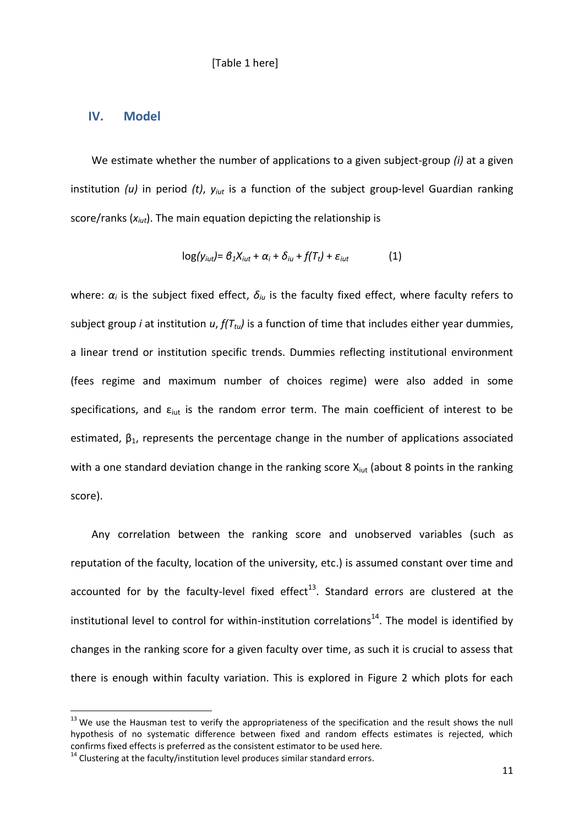#### [Table 1 here]

#### **IV. Model**

We estimate whether the number of applications to a given subject-group *(i)* at a given institution *(u)* in period *(t)*, *yiut* is a function of the subject group-level Guardian ranking score/ranks (*xiut*). The main equation depicting the relationship is

$$
\log(y_{iut}) = \beta_1 X_{iut} + \alpha_i + \delta_{iu} + f(T_t) + \varepsilon_{iut} \tag{1}
$$

where: *α<sup>i</sup>* is the subject fixed effect, *δiu* is the faculty fixed effect, where faculty refers to subject group *i* at institution *u*, *f(Ttu)* is a function of time that includes either year dummies, a linear trend or institution specific trends. Dummies reflecting institutional environment (fees regime and maximum number of choices regime) were also added in some specifications, and  $\varepsilon_{\text{iut}}$  is the random error term. The main coefficient of interest to be estimated,  $\beta_1$ , represents the percentage change in the number of applications associated with a one standard deviation change in the ranking score  $X_{\text{iut}}$  (about 8 points in the ranking score).

Any correlation between the ranking score and unobserved variables (such as reputation of the faculty, location of the university, etc.) is assumed constant over time and accounted for by the faculty-level fixed effect $^{13}$ . Standard errors are clustered at the institutional level to control for within-institution correlations $^{14}$ . The model is identified by changes in the ranking score for a given faculty over time, as such it is crucial to assess that there is enough within faculty variation. This is explored in Figure 2 which plots for each

**.** 

<sup>&</sup>lt;sup>13</sup> We use the Hausman test to verify the appropriateness of the specification and the result shows the null hypothesis of no systematic difference between fixed and random effects estimates is rejected, which confirms fixed effects is preferred as the consistent estimator to be used here.

 $14$  Clustering at the faculty/institution level produces similar standard errors.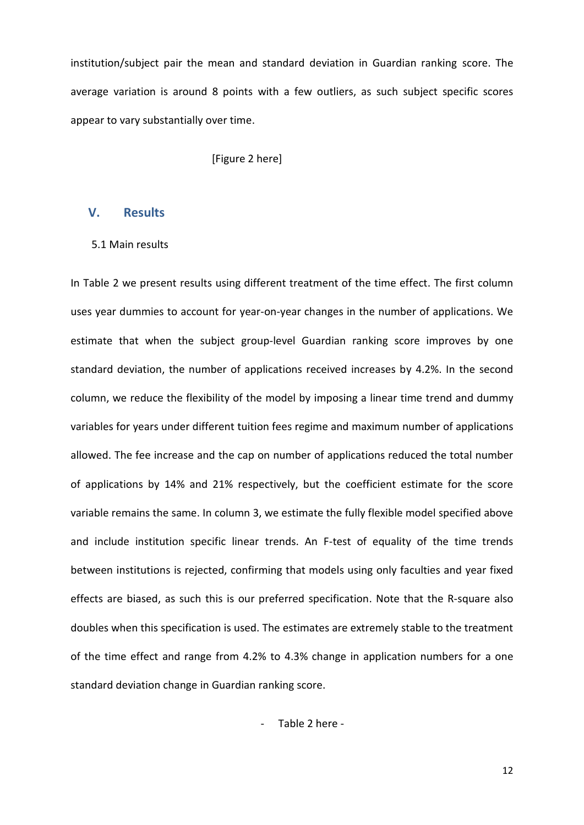institution/subject pair the mean and standard deviation in Guardian ranking score. The average variation is around 8 points with a few outliers, as such subject specific scores appear to vary substantially over time.

[Figure 2 here]

#### **V. Results**

#### 5.1 Main results

In Table 2 we present results using different treatment of the time effect. The first column uses year dummies to account for year-on-year changes in the number of applications. We estimate that when the subject group-level Guardian ranking score improves by one standard deviation, the number of applications received increases by 4.2%. In the second column, we reduce the flexibility of the model by imposing a linear time trend and dummy variables for years under different tuition fees regime and maximum number of applications allowed. The fee increase and the cap on number of applications reduced the total number of applications by 14% and 21% respectively, but the coefficient estimate for the score variable remains the same. In column 3, we estimate the fully flexible model specified above and include institution specific linear trends. An F-test of equality of the time trends between institutions is rejected, confirming that models using only faculties and year fixed effects are biased, as such this is our preferred specification. Note that the R-square also doubles when this specification is used. The estimates are extremely stable to the treatment of the time effect and range from 4.2% to 4.3% change in application numbers for a one standard deviation change in Guardian ranking score.

- Table 2 here -

12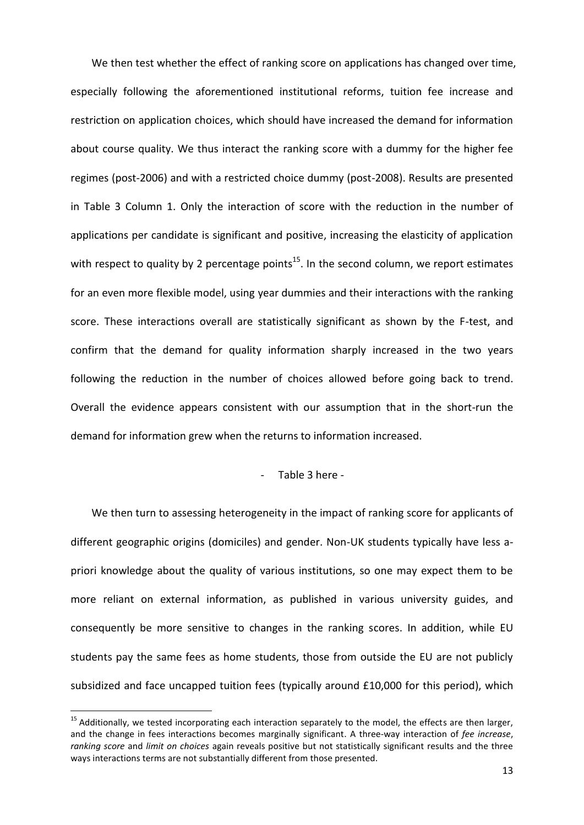We then test whether the effect of ranking score on applications has changed over time, especially following the aforementioned institutional reforms, tuition fee increase and restriction on application choices, which should have increased the demand for information about course quality. We thus interact the ranking score with a dummy for the higher fee regimes (post-2006) and with a restricted choice dummy (post-2008). Results are presented in Table 3 Column 1. Only the interaction of score with the reduction in the number of applications per candidate is significant and positive, increasing the elasticity of application with respect to quality by 2 percentage points<sup>15</sup>. In the second column, we report estimates for an even more flexible model, using year dummies and their interactions with the ranking score. These interactions overall are statistically significant as shown by the F-test, and confirm that the demand for quality information sharply increased in the two years following the reduction in the number of choices allowed before going back to trend. Overall the evidence appears consistent with our assumption that in the short-run the demand for information grew when the returns to information increased.

#### - Table 3 here -

We then turn to assessing heterogeneity in the impact of ranking score for applicants of different geographic origins (domiciles) and gender. Non-UK students typically have less apriori knowledge about the quality of various institutions, so one may expect them to be more reliant on external information, as published in various university guides, and consequently be more sensitive to changes in the ranking scores. In addition, while EU students pay the same fees as home students, those from outside the EU are not publicly subsidized and face uncapped tuition fees (typically around £10,000 for this period), which

**.** 

<sup>&</sup>lt;sup>15</sup> Additionally, we tested incorporating each interaction separately to the model, the effects are then larger, and the change in fees interactions becomes marginally significant. A three-way interaction of *fee increase*, *ranking score* and *limit on choices* again reveals positive but not statistically significant results and the three ways interactions terms are not substantially different from those presented.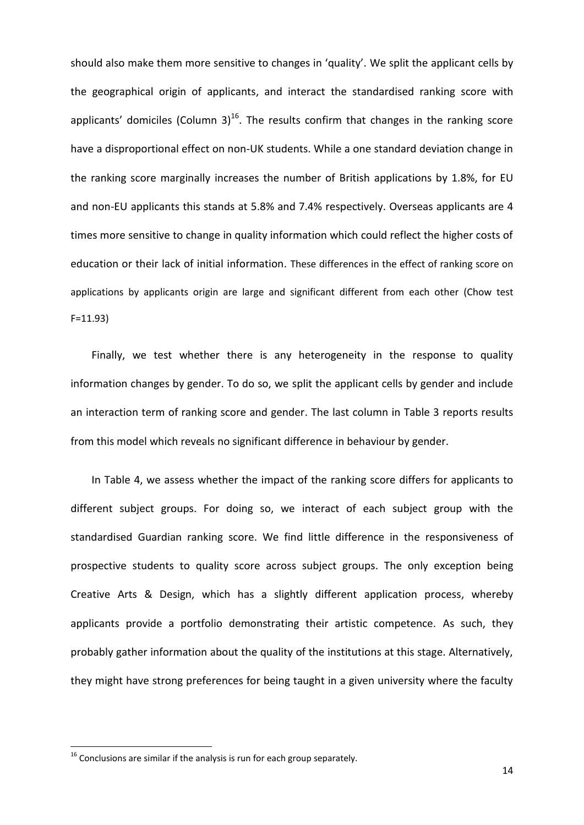should also make them more sensitive to changes in 'quality'. We split the applicant cells by the geographical origin of applicants, and interact the standardised ranking score with applicants' domiciles (Column 3)<sup>16</sup>. The results confirm that changes in the ranking score have a disproportional effect on non-UK students. While a one standard deviation change in the ranking score marginally increases the number of British applications by 1.8%, for EU and non-EU applicants this stands at 5.8% and 7.4% respectively. Overseas applicants are 4 times more sensitive to change in quality information which could reflect the higher costs of education or their lack of initial information. These differences in the effect of ranking score on applications by applicants origin are large and significant different from each other (Chow test F=11.93)

Finally, we test whether there is any heterogeneity in the response to quality information changes by gender. To do so, we split the applicant cells by gender and include an interaction term of ranking score and gender. The last column in Table 3 reports results from this model which reveals no significant difference in behaviour by gender.

In Table 4, we assess whether the impact of the ranking score differs for applicants to different subject groups. For doing so, we interact of each subject group with the standardised Guardian ranking score. We find little difference in the responsiveness of prospective students to quality score across subject groups. The only exception being Creative Arts & Design, which has a slightly different application process, whereby applicants provide a portfolio demonstrating their artistic competence. As such, they probably gather information about the quality of the institutions at this stage. Alternatively, they might have strong preferences for being taught in a given university where the faculty

**.** 

 $16$  Conclusions are similar if the analysis is run for each group separately.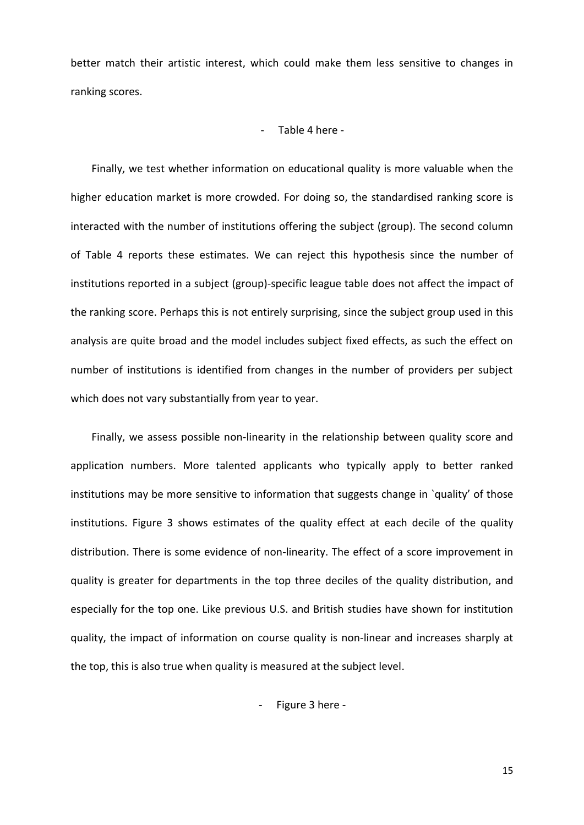better match their artistic interest, which could make them less sensitive to changes in ranking scores.

#### - Table 4 here -

Finally, we test whether information on educational quality is more valuable when the higher education market is more crowded. For doing so, the standardised ranking score is interacted with the number of institutions offering the subject (group). The second column of Table 4 reports these estimates. We can reject this hypothesis since the number of institutions reported in a subject (group)-specific league table does not affect the impact of the ranking score. Perhaps this is not entirely surprising, since the subject group used in this analysis are quite broad and the model includes subject fixed effects, as such the effect on number of institutions is identified from changes in the number of providers per subject which does not vary substantially from year to year.

Finally, we assess possible non-linearity in the relationship between quality score and application numbers. More talented applicants who typically apply to better ranked institutions may be more sensitive to information that suggests change in `quality' of those institutions. Figure 3 shows estimates of the quality effect at each decile of the quality distribution. There is some evidence of non-linearity. The effect of a score improvement in quality is greater for departments in the top three deciles of the quality distribution, and especially for the top one. Like previous U.S. and British studies have shown for institution quality, the impact of information on course quality is non-linear and increases sharply at the top, this is also true when quality is measured at the subject level.

- Figure 3 here -

15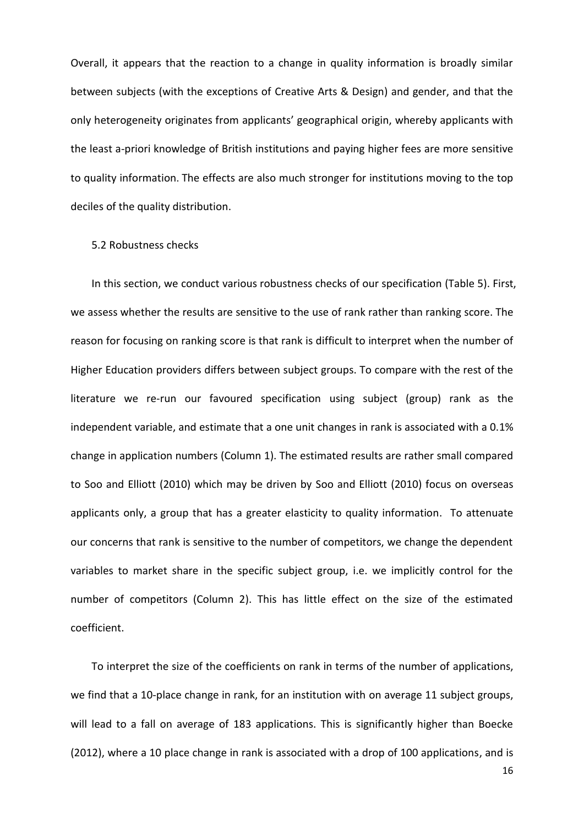Overall, it appears that the reaction to a change in quality information is broadly similar between subjects (with the exceptions of Creative Arts & Design) and gender, and that the only heterogeneity originates from applicants' geographical origin, whereby applicants with the least a-priori knowledge of British institutions and paying higher fees are more sensitive to quality information. The effects are also much stronger for institutions moving to the top deciles of the quality distribution.

#### 5.2 Robustness checks

In this section, we conduct various robustness checks of our specification (Table 5). First, we assess whether the results are sensitive to the use of rank rather than ranking score. The reason for focusing on ranking score is that rank is difficult to interpret when the number of Higher Education providers differs between subject groups. To compare with the rest of the literature we re-run our favoured specification using subject (group) rank as the independent variable, and estimate that a one unit changes in rank is associated with a 0.1% change in application numbers (Column 1). The estimated results are rather small compared to Soo and Elliott (2010) which may be driven by Soo and Elliott (2010) focus on overseas applicants only, a group that has a greater elasticity to quality information. To attenuate our concerns that rank is sensitive to the number of competitors, we change the dependent variables to market share in the specific subject group, i.e. we implicitly control for the number of competitors (Column 2). This has little effect on the size of the estimated coefficient.

To interpret the size of the coefficients on rank in terms of the number of applications, we find that a 10-place change in rank, for an institution with on average 11 subject groups, will lead to a fall on average of 183 applications. This is significantly higher than Boecke (2012), where a 10 place change in rank is associated with a drop of 100 applications, and is

16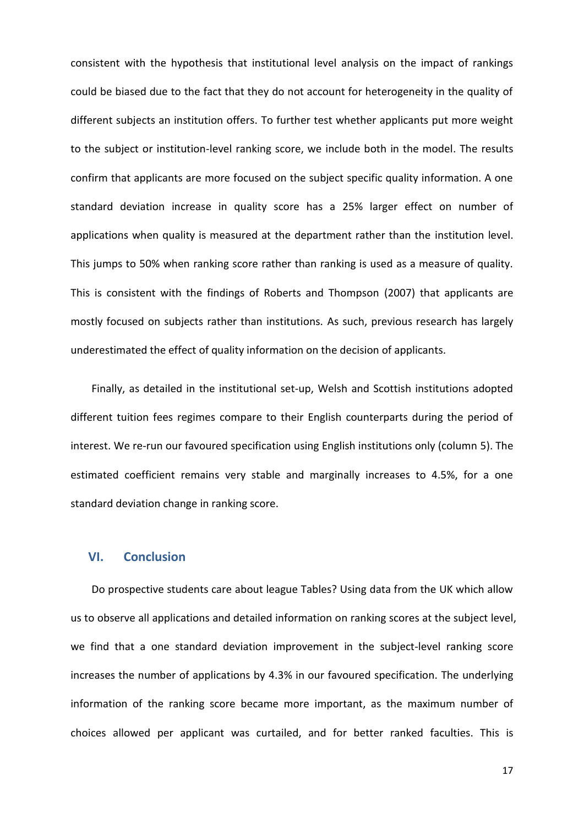consistent with the hypothesis that institutional level analysis on the impact of rankings could be biased due to the fact that they do not account for heterogeneity in the quality of different subjects an institution offers. To further test whether applicants put more weight to the subject or institution-level ranking score, we include both in the model. The results confirm that applicants are more focused on the subject specific quality information. A one standard deviation increase in quality score has a 25% larger effect on number of applications when quality is measured at the department rather than the institution level. This jumps to 50% when ranking score rather than ranking is used as a measure of quality. This is consistent with the findings of Roberts and Thompson (2007) that applicants are mostly focused on subjects rather than institutions. As such, previous research has largely underestimated the effect of quality information on the decision of applicants.

Finally, as detailed in the institutional set-up, Welsh and Scottish institutions adopted different tuition fees regimes compare to their English counterparts during the period of interest. We re-run our favoured specification using English institutions only (column 5). The estimated coefficient remains very stable and marginally increases to 4.5%, for a one standard deviation change in ranking score.

#### **VI. Conclusion**

Do prospective students care about league Tables? Using data from the UK which allow us to observe all applications and detailed information on ranking scores at the subject level, we find that a one standard deviation improvement in the subject-level ranking score increases the number of applications by 4.3% in our favoured specification. The underlying information of the ranking score became more important, as the maximum number of choices allowed per applicant was curtailed, and for better ranked faculties. This is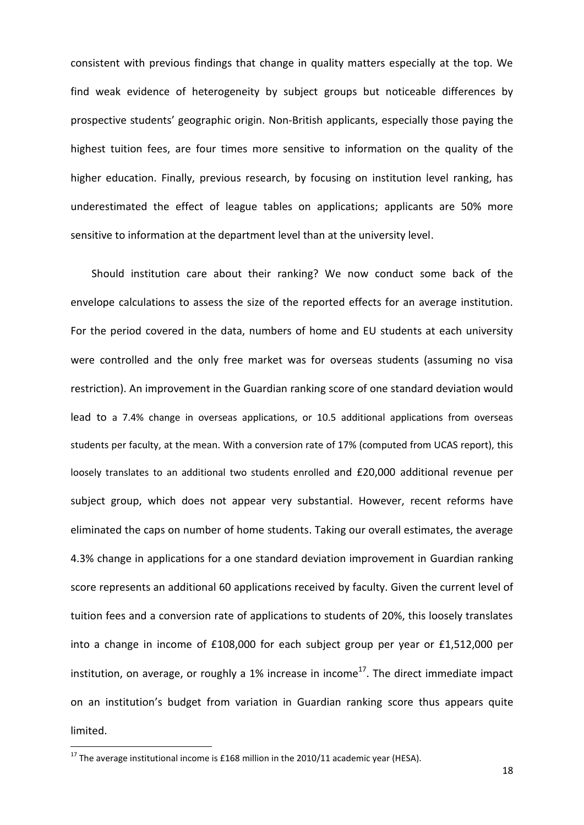consistent with previous findings that change in quality matters especially at the top. We find weak evidence of heterogeneity by subject groups but noticeable differences by prospective students' geographic origin. Non-British applicants, especially those paying the highest tuition fees, are four times more sensitive to information on the quality of the higher education. Finally, previous research, by focusing on institution level ranking, has underestimated the effect of league tables on applications; applicants are 50% more sensitive to information at the department level than at the university level.

Should institution care about their ranking? We now conduct some back of the envelope calculations to assess the size of the reported effects for an average institution. For the period covered in the data, numbers of home and EU students at each university were controlled and the only free market was for overseas students (assuming no visa restriction). An improvement in the Guardian ranking score of one standard deviation would lead to a 7.4% change in overseas applications, or 10.5 additional applications from overseas students per faculty, at the mean. With a conversion rate of 17% (computed from UCAS report), this loosely translates to an additional two students enrolled and £20,000 additional revenue per subject group, which does not appear very substantial. However, recent reforms have eliminated the caps on number of home students. Taking our overall estimates, the average 4.3% change in applications for a one standard deviation improvement in Guardian ranking score represents an additional 60 applications received by faculty. Given the current level of tuition fees and a conversion rate of applications to students of 20%, this loosely translates into a change in income of £108,000 for each subject group per year or £1,512,000 per institution, on average, or roughly a 1% increase in income<sup>17</sup>. The direct immediate impact on an institution's budget from variation in Guardian ranking score thus appears quite limited.

**.** 

 $17$  The average institutional income is £168 million in the 2010/11 academic year (HESA).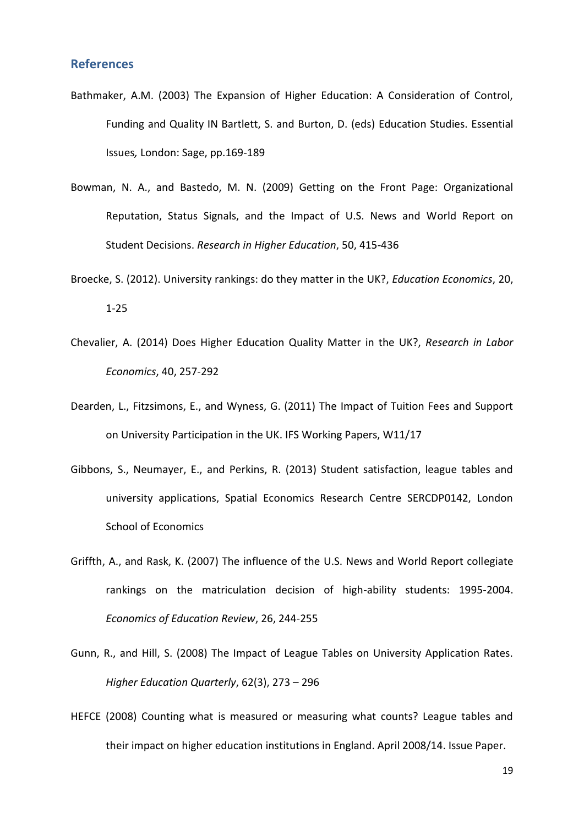#### **References**

- Bathmaker, A.M. (2003) The Expansion of Higher Education: A Consideration of Control, Funding and Quality IN Bartlett, S. and Burton, D. (eds) Education Studies. Essential Issues*,* London: Sage, pp.169-189
- Bowman, N. A., and Bastedo, M. N. (2009) Getting on the Front Page: Organizational Reputation, Status Signals, and the Impact of U.S. News and World Report on Student Decisions. *Research in Higher Education*, 50, 415-436
- [Broecke, S.](http://pure.rhul.ac.uk/portal/en/persons/stijn-broecke(9b35e2e8-ec4b-41d3-8849-49954ddb36b8).html) (2012). [University](http://pure.rhul.ac.uk/portal/en/publications/empirical-essays-in-the-economics-of-education(33d88581-f390-44f5-b43c-aeb9f62ae771).html) rankings: do they matter in the UK?, *Education Economics*, 20, 1-25
- Chevalier, A. (2014) Does Higher Education Quality Matter in the UK?, *Research in Labor Economics*, 40, 257-292
- Dearden, L., Fitzsimons, E., and Wyness, G. (2011) The Impact of Tuition Fees and Support on University Participation in the UK. IFS Working Papers, W11/17
- Gibbons, S., Neumayer, E., and Perkins, R. (2013) Student satisfaction, league tables and university applications, Spatial Economics Research Centre SERCDP0142, London School of Economics
- Griffth, A., and Rask, K. (2007) The influence of the U.S. News and World Report collegiate rankings on the matriculation decision of high-ability students: 1995-2004. *Economics of Education Review*, 26, 244-255
- Gunn, R., and Hill, S. (2008) The Impact of League Tables on University Application Rates. *Higher Education Quarterly*, 62(3), 273 – 296
- HEFCE (2008) Counting what is measured or measuring what counts? League tables and their impact on higher education institutions in England. April 2008/14. Issue Paper.

19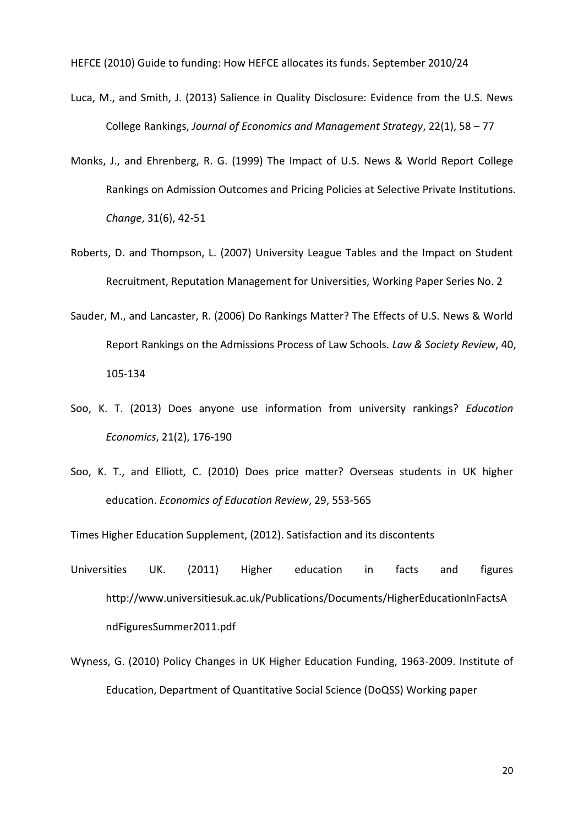HEFCE (2010) Guide to funding: How HEFCE allocates its funds. September 2010/24

- Luca, M., and Smith, J. (2013) Salience in Quality Disclosure: Evidence from the U.S. News College Rankings, *Journal of Economics and Management Strategy*, 22(1), 58 – 77
- Monks, J., and Ehrenberg, R. G. (1999) The Impact of U.S. News & World Report College Rankings on Admission Outcomes and Pricing Policies at Selective Private Institutions. *Change*, 31(6), 42-51
- Roberts, D. and Thompson, L. (2007) University League Tables and the Impact on Student Recruitment, Reputation Management for Universities, Working Paper Series No. 2
- Sauder, M., and Lancaster, R. (2006) Do Rankings Matter? The Effects of U.S. News & World Report Rankings on the Admissions Process of Law Schools. *Law & Society Review*, 40, 105-134
- Soo, K. T. (2013) Does anyone use information from university rankings? *Education Economics*, 21(2), 176-190
- Soo, K. T., and Elliott, C. (2010) Does price matter? Overseas students in UK higher education. *Economics of Education Review*, 29, 553-565

Times Higher Education Supplement, (2012). Satisfaction and its discontents

- Universities UK. (2011) Higher education in facts and figures http://www.universitiesuk.ac.uk/Publications/Documents/HigherEducationInFactsA ndFiguresSummer2011.pdf
- Wyness, G. (2010) Policy Changes in UK Higher Education Funding, 1963-2009. Institute of Education, Department of Quantitative Social Science (DoQSS) Working paper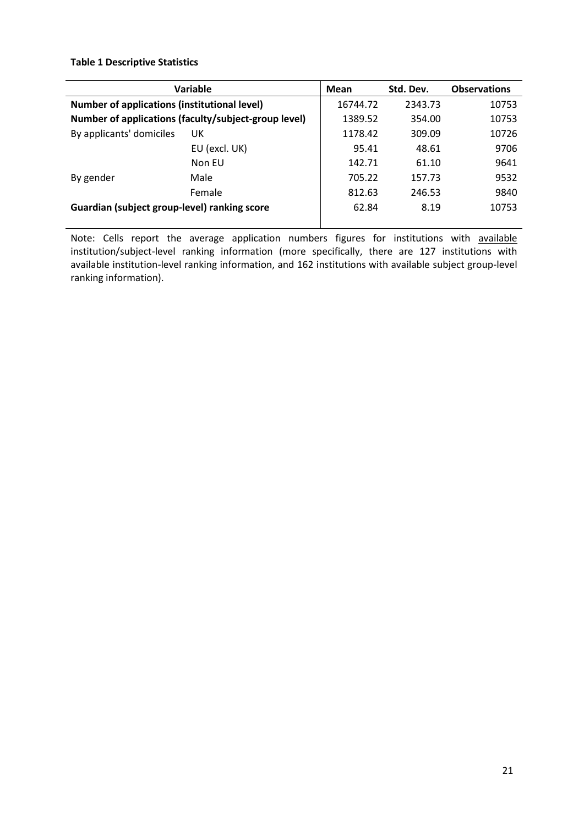#### **Table 1 Descriptive Statistics**

|                                                     | Variable                                             | Mean    | Std. Dev. | <b>Observations</b> |
|-----------------------------------------------------|------------------------------------------------------|---------|-----------|---------------------|
| <b>Number of applications (institutional level)</b> | 16744.72                                             | 2343.73 | 10753     |                     |
|                                                     | Number of applications (faculty/subject-group level) | 1389.52 | 354.00    | 10753               |
| By applicants' domiciles                            | UK                                                   | 1178.42 | 309.09    | 10726               |
|                                                     | EU (excl. UK)                                        | 95.41   | 48.61     | 9706                |
|                                                     | Non FU                                               | 142.71  | 61.10     | 9641                |
| By gender                                           | Male                                                 | 705.22  | 157.73    | 9532                |
|                                                     | Female                                               | 812.63  | 246.53    | 9840                |
| Guardian (subject group-level) ranking score        | 62.84                                                | 8.19    | 10753     |                     |
|                                                     |                                                      |         |           |                     |

Note: Cells report the average application numbers figures for institutions with available institution/subject-level ranking information (more specifically, there are 127 institutions with available institution-level ranking information, and 162 institutions with available subject group-level ranking information).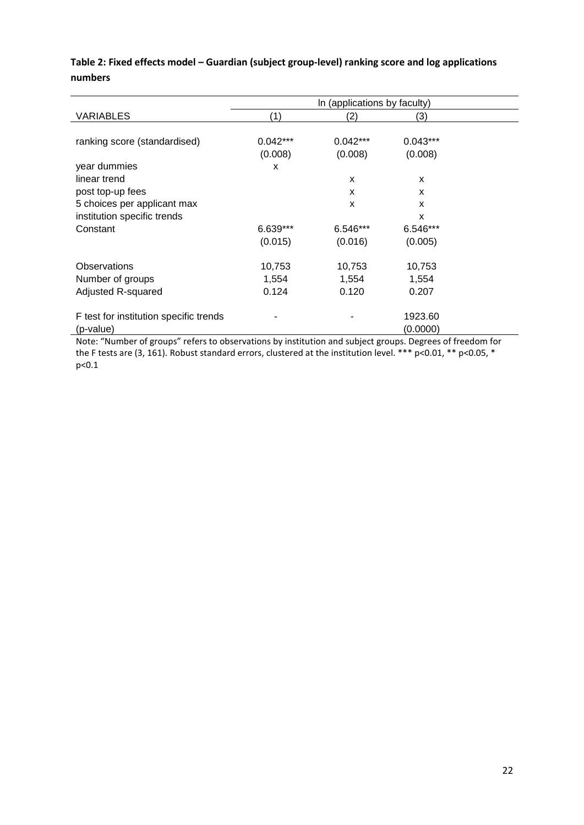|                                        | In (applications by faculty) |            |                    |  |  |  |
|----------------------------------------|------------------------------|------------|--------------------|--|--|--|
| <b>VARIABLES</b>                       | (1)                          | (2)        | (3)                |  |  |  |
|                                        |                              |            |                    |  |  |  |
| ranking score (standardised)           | $0.042***$                   | $0.042***$ | $0.043***$         |  |  |  |
|                                        | (0.008)                      | (0.008)    | (0.008)            |  |  |  |
| year dummies                           | х                            |            |                    |  |  |  |
| linear trend                           |                              | X          | X                  |  |  |  |
| post top-up fees                       |                              | X          | X                  |  |  |  |
| 5 choices per applicant max            |                              | X          | X                  |  |  |  |
| institution specific trends            |                              |            | X                  |  |  |  |
| Constant                               | 6.639***                     | 6.546***   | 6.546***           |  |  |  |
|                                        | (0.015)                      | (0.016)    | (0.005)            |  |  |  |
|                                        |                              |            |                    |  |  |  |
| <b>Observations</b>                    | 10,753                       | 10,753     | 10,753             |  |  |  |
| Number of groups                       | 1,554                        | 1,554      | 1,554              |  |  |  |
| Adjusted R-squared                     | 0.124                        | 0.120      | 0.207              |  |  |  |
|                                        |                              |            |                    |  |  |  |
| F test for institution specific trends |                              |            | 1923.60            |  |  |  |
| (p-value)                              |                              |            | (0.0000)<br>$\sim$ |  |  |  |

### **Table 2: Fixed effects model – Guardian (subject group-level) ranking score and log applications numbers**

Note: "Number of groups" refers to observations by institution and subject groups. Degrees of freedom for the F tests are (3, 161). Robust standard errors, clustered at the institution level. \*\*\* p<0.01, \*\* p<0.05, \* p<0.1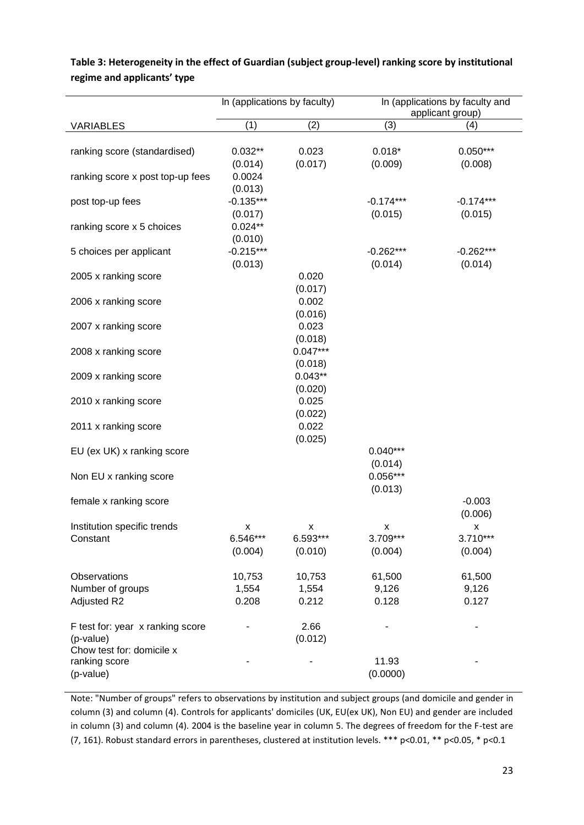|                                                                            | In (applications by faculty) |                          |                          | In (applications by faculty and<br>applicant group) |
|----------------------------------------------------------------------------|------------------------------|--------------------------|--------------------------|-----------------------------------------------------|
| VARIABLES                                                                  | (1)                          | (2)                      | (3)                      | (4)                                                 |
| ranking score (standardised)                                               | $0.032**$<br>(0.014)         | 0.023<br>(0.017)         | $0.018*$<br>(0.009)      | $0.050***$<br>(0.008)                               |
| ranking score x post top-up fees                                           | 0.0024<br>(0.013)            |                          |                          |                                                     |
| post top-up fees                                                           | $-0.135***$<br>(0.017)       |                          | $-0.174***$<br>(0.015)   | $-0.174***$<br>(0.015)                              |
| ranking score x 5 choices                                                  | $0.024**$<br>(0.010)         |                          |                          |                                                     |
| 5 choices per applicant                                                    | $-0.215***$<br>(0.013)       |                          | $-0.262***$<br>(0.014)   | $-0.262***$<br>(0.014)                              |
| 2005 x ranking score                                                       |                              | 0.020<br>(0.017)         |                          |                                                     |
| 2006 x ranking score                                                       |                              | 0.002<br>(0.016)         |                          |                                                     |
| 2007 x ranking score                                                       |                              | 0.023<br>(0.018)         |                          |                                                     |
| 2008 x ranking score                                                       |                              | $0.047***$<br>(0.018)    |                          |                                                     |
| 2009 x ranking score                                                       |                              | $0.043**$<br>(0.020)     |                          |                                                     |
| 2010 x ranking score                                                       |                              | 0.025<br>(0.022)         |                          |                                                     |
| 2011 x ranking score                                                       |                              | 0.022<br>(0.025)         |                          |                                                     |
| EU (ex UK) x ranking score                                                 |                              |                          | $0.040***$<br>(0.014)    |                                                     |
| Non EU x ranking score                                                     |                              |                          | $0.056***$<br>(0.013)    |                                                     |
| female x ranking score                                                     |                              |                          |                          | $-0.003$<br>(0.006)                                 |
| Institution specific trends<br>Constant                                    | x<br>6.546***<br>(0.004)     | х<br>6.593***<br>(0.010) | x<br>3.709***<br>(0.004) | x<br>3.710***<br>(0.004)                            |
| Observations                                                               | 10,753                       | 10,753                   | 61,500                   | 61,500                                              |
| Number of groups<br>Adjusted R2                                            | 1,554<br>0.208               | 1,554<br>0.212           | 9,126<br>0.128           | 9,126<br>0.127                                      |
| F test for: year x ranking score<br>(p-value)<br>Chow test for: domicile x |                              | 2.66<br>(0.012)          |                          |                                                     |
| ranking score<br>(p-value)                                                 |                              |                          | 11.93<br>(0.0000)        |                                                     |

### **Table 3: Heterogeneity in the effect of Guardian (subject group-level) ranking score by institutional regime and applicants' type**

Note: "Number of groups" refers to observations by institution and subject groups (and domicile and gender in column (3) and column (4). Controls for applicants' domiciles (UK, EU(ex UK), Non EU) and gender are included in column (3) and column (4). 2004 is the baseline year in column 5. The degrees of freedom for the F-test are (7, 161). Robust standard errors in parentheses, clustered at institution levels. \*\*\* p<0.01, \*\* p<0.05, \* p<0.1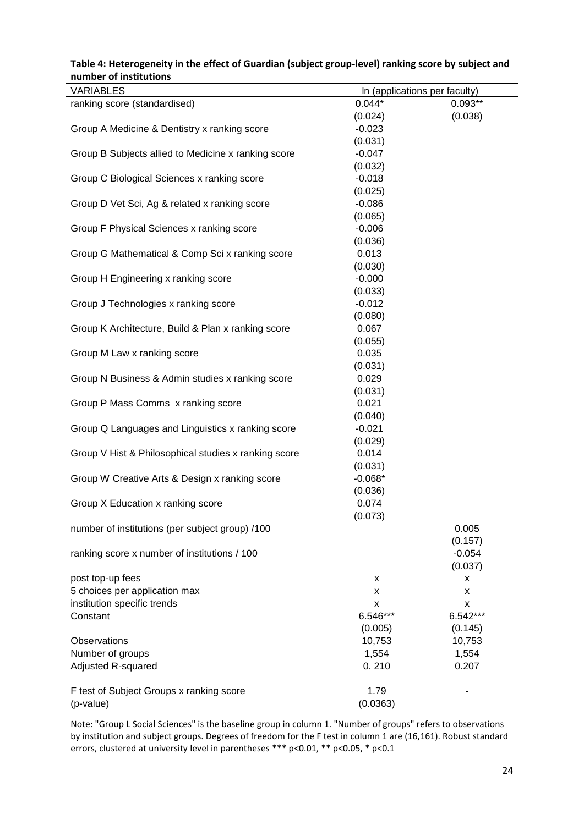| <b>VARIABLES</b><br>In (applications per faculty)<br>$0.093**$<br>ranking score (standardised)<br>$0.044*$<br>(0.024)<br>(0.038)<br>Group A Medicine & Dentistry x ranking score<br>$-0.023$<br>(0.031)<br>Group B Subjects allied to Medicine x ranking score<br>$-0.047$<br>(0.032)<br>$-0.018$<br>Group C Biological Sciences x ranking score<br>(0.025)<br>$-0.086$<br>Group D Vet Sci, Ag & related x ranking score<br>(0.065)<br>Group F Physical Sciences x ranking score<br>$-0.006$<br>(0.036)<br>Group G Mathematical & Comp Sci x ranking score<br>0.013<br>(0.030)<br>Group H Engineering x ranking score<br>$-0.000$<br>(0.033)<br>Group J Technologies x ranking score<br>$-0.012$<br>(0.080)<br>Group K Architecture, Build & Plan x ranking score<br>0.067<br>(0.055)<br>0.035<br>Group M Law x ranking score<br>(0.031)<br>0.029<br>Group N Business & Admin studies x ranking score<br>(0.031)<br>0.021<br>Group P Mass Comms x ranking score<br>(0.040)<br>Group Q Languages and Linguistics x ranking score<br>$-0.021$<br>(0.029)<br>Group V Hist & Philosophical studies x ranking score<br>0.014<br>(0.031)<br>$-0.068*$<br>Group W Creative Arts & Design x ranking score<br>(0.036)<br>0.074<br>Group X Education x ranking score<br>(0.073)<br>number of institutions (per subject group) /100<br>0.005<br>(0.157)<br>ranking score x number of institutions / 100<br>$-0.054$<br>(0.037)<br>post top-up fees<br>x<br>X<br>5 choices per application max<br>X<br>X<br>institution specific trends<br>X<br>x<br>Constant<br>6.546***<br>6.542***<br>(0.145)<br>(0.005)<br>Observations<br>10,753<br>10,753<br>Number of groups<br>1,554<br>1,554<br>Adjusted R-squared<br>0.210<br>0.207<br>F test of Subject Groups x ranking score<br>1.79 |           |          |  |
|-----------------------------------------------------------------------------------------------------------------------------------------------------------------------------------------------------------------------------------------------------------------------------------------------------------------------------------------------------------------------------------------------------------------------------------------------------------------------------------------------------------------------------------------------------------------------------------------------------------------------------------------------------------------------------------------------------------------------------------------------------------------------------------------------------------------------------------------------------------------------------------------------------------------------------------------------------------------------------------------------------------------------------------------------------------------------------------------------------------------------------------------------------------------------------------------------------------------------------------------------------------------------------------------------------------------------------------------------------------------------------------------------------------------------------------------------------------------------------------------------------------------------------------------------------------------------------------------------------------------------------------------------------------------------------------------------------------------------------------------------------------------------|-----------|----------|--|
|                                                                                                                                                                                                                                                                                                                                                                                                                                                                                                                                                                                                                                                                                                                                                                                                                                                                                                                                                                                                                                                                                                                                                                                                                                                                                                                                                                                                                                                                                                                                                                                                                                                                                                                                                                       |           |          |  |
|                                                                                                                                                                                                                                                                                                                                                                                                                                                                                                                                                                                                                                                                                                                                                                                                                                                                                                                                                                                                                                                                                                                                                                                                                                                                                                                                                                                                                                                                                                                                                                                                                                                                                                                                                                       |           |          |  |
|                                                                                                                                                                                                                                                                                                                                                                                                                                                                                                                                                                                                                                                                                                                                                                                                                                                                                                                                                                                                                                                                                                                                                                                                                                                                                                                                                                                                                                                                                                                                                                                                                                                                                                                                                                       |           |          |  |
|                                                                                                                                                                                                                                                                                                                                                                                                                                                                                                                                                                                                                                                                                                                                                                                                                                                                                                                                                                                                                                                                                                                                                                                                                                                                                                                                                                                                                                                                                                                                                                                                                                                                                                                                                                       |           |          |  |
|                                                                                                                                                                                                                                                                                                                                                                                                                                                                                                                                                                                                                                                                                                                                                                                                                                                                                                                                                                                                                                                                                                                                                                                                                                                                                                                                                                                                                                                                                                                                                                                                                                                                                                                                                                       |           |          |  |
|                                                                                                                                                                                                                                                                                                                                                                                                                                                                                                                                                                                                                                                                                                                                                                                                                                                                                                                                                                                                                                                                                                                                                                                                                                                                                                                                                                                                                                                                                                                                                                                                                                                                                                                                                                       |           |          |  |
|                                                                                                                                                                                                                                                                                                                                                                                                                                                                                                                                                                                                                                                                                                                                                                                                                                                                                                                                                                                                                                                                                                                                                                                                                                                                                                                                                                                                                                                                                                                                                                                                                                                                                                                                                                       |           |          |  |
|                                                                                                                                                                                                                                                                                                                                                                                                                                                                                                                                                                                                                                                                                                                                                                                                                                                                                                                                                                                                                                                                                                                                                                                                                                                                                                                                                                                                                                                                                                                                                                                                                                                                                                                                                                       |           |          |  |
|                                                                                                                                                                                                                                                                                                                                                                                                                                                                                                                                                                                                                                                                                                                                                                                                                                                                                                                                                                                                                                                                                                                                                                                                                                                                                                                                                                                                                                                                                                                                                                                                                                                                                                                                                                       |           |          |  |
|                                                                                                                                                                                                                                                                                                                                                                                                                                                                                                                                                                                                                                                                                                                                                                                                                                                                                                                                                                                                                                                                                                                                                                                                                                                                                                                                                                                                                                                                                                                                                                                                                                                                                                                                                                       |           |          |  |
|                                                                                                                                                                                                                                                                                                                                                                                                                                                                                                                                                                                                                                                                                                                                                                                                                                                                                                                                                                                                                                                                                                                                                                                                                                                                                                                                                                                                                                                                                                                                                                                                                                                                                                                                                                       |           |          |  |
|                                                                                                                                                                                                                                                                                                                                                                                                                                                                                                                                                                                                                                                                                                                                                                                                                                                                                                                                                                                                                                                                                                                                                                                                                                                                                                                                                                                                                                                                                                                                                                                                                                                                                                                                                                       |           |          |  |
|                                                                                                                                                                                                                                                                                                                                                                                                                                                                                                                                                                                                                                                                                                                                                                                                                                                                                                                                                                                                                                                                                                                                                                                                                                                                                                                                                                                                                                                                                                                                                                                                                                                                                                                                                                       |           |          |  |
|                                                                                                                                                                                                                                                                                                                                                                                                                                                                                                                                                                                                                                                                                                                                                                                                                                                                                                                                                                                                                                                                                                                                                                                                                                                                                                                                                                                                                                                                                                                                                                                                                                                                                                                                                                       |           |          |  |
|                                                                                                                                                                                                                                                                                                                                                                                                                                                                                                                                                                                                                                                                                                                                                                                                                                                                                                                                                                                                                                                                                                                                                                                                                                                                                                                                                                                                                                                                                                                                                                                                                                                                                                                                                                       |           |          |  |
|                                                                                                                                                                                                                                                                                                                                                                                                                                                                                                                                                                                                                                                                                                                                                                                                                                                                                                                                                                                                                                                                                                                                                                                                                                                                                                                                                                                                                                                                                                                                                                                                                                                                                                                                                                       |           |          |  |
|                                                                                                                                                                                                                                                                                                                                                                                                                                                                                                                                                                                                                                                                                                                                                                                                                                                                                                                                                                                                                                                                                                                                                                                                                                                                                                                                                                                                                                                                                                                                                                                                                                                                                                                                                                       |           |          |  |
|                                                                                                                                                                                                                                                                                                                                                                                                                                                                                                                                                                                                                                                                                                                                                                                                                                                                                                                                                                                                                                                                                                                                                                                                                                                                                                                                                                                                                                                                                                                                                                                                                                                                                                                                                                       |           |          |  |
|                                                                                                                                                                                                                                                                                                                                                                                                                                                                                                                                                                                                                                                                                                                                                                                                                                                                                                                                                                                                                                                                                                                                                                                                                                                                                                                                                                                                                                                                                                                                                                                                                                                                                                                                                                       |           |          |  |
|                                                                                                                                                                                                                                                                                                                                                                                                                                                                                                                                                                                                                                                                                                                                                                                                                                                                                                                                                                                                                                                                                                                                                                                                                                                                                                                                                                                                                                                                                                                                                                                                                                                                                                                                                                       |           |          |  |
|                                                                                                                                                                                                                                                                                                                                                                                                                                                                                                                                                                                                                                                                                                                                                                                                                                                                                                                                                                                                                                                                                                                                                                                                                                                                                                                                                                                                                                                                                                                                                                                                                                                                                                                                                                       |           |          |  |
|                                                                                                                                                                                                                                                                                                                                                                                                                                                                                                                                                                                                                                                                                                                                                                                                                                                                                                                                                                                                                                                                                                                                                                                                                                                                                                                                                                                                                                                                                                                                                                                                                                                                                                                                                                       |           |          |  |
|                                                                                                                                                                                                                                                                                                                                                                                                                                                                                                                                                                                                                                                                                                                                                                                                                                                                                                                                                                                                                                                                                                                                                                                                                                                                                                                                                                                                                                                                                                                                                                                                                                                                                                                                                                       |           |          |  |
|                                                                                                                                                                                                                                                                                                                                                                                                                                                                                                                                                                                                                                                                                                                                                                                                                                                                                                                                                                                                                                                                                                                                                                                                                                                                                                                                                                                                                                                                                                                                                                                                                                                                                                                                                                       |           |          |  |
|                                                                                                                                                                                                                                                                                                                                                                                                                                                                                                                                                                                                                                                                                                                                                                                                                                                                                                                                                                                                                                                                                                                                                                                                                                                                                                                                                                                                                                                                                                                                                                                                                                                                                                                                                                       |           |          |  |
|                                                                                                                                                                                                                                                                                                                                                                                                                                                                                                                                                                                                                                                                                                                                                                                                                                                                                                                                                                                                                                                                                                                                                                                                                                                                                                                                                                                                                                                                                                                                                                                                                                                                                                                                                                       |           |          |  |
|                                                                                                                                                                                                                                                                                                                                                                                                                                                                                                                                                                                                                                                                                                                                                                                                                                                                                                                                                                                                                                                                                                                                                                                                                                                                                                                                                                                                                                                                                                                                                                                                                                                                                                                                                                       |           |          |  |
|                                                                                                                                                                                                                                                                                                                                                                                                                                                                                                                                                                                                                                                                                                                                                                                                                                                                                                                                                                                                                                                                                                                                                                                                                                                                                                                                                                                                                                                                                                                                                                                                                                                                                                                                                                       |           |          |  |
|                                                                                                                                                                                                                                                                                                                                                                                                                                                                                                                                                                                                                                                                                                                                                                                                                                                                                                                                                                                                                                                                                                                                                                                                                                                                                                                                                                                                                                                                                                                                                                                                                                                                                                                                                                       |           |          |  |
|                                                                                                                                                                                                                                                                                                                                                                                                                                                                                                                                                                                                                                                                                                                                                                                                                                                                                                                                                                                                                                                                                                                                                                                                                                                                                                                                                                                                                                                                                                                                                                                                                                                                                                                                                                       |           |          |  |
|                                                                                                                                                                                                                                                                                                                                                                                                                                                                                                                                                                                                                                                                                                                                                                                                                                                                                                                                                                                                                                                                                                                                                                                                                                                                                                                                                                                                                                                                                                                                                                                                                                                                                                                                                                       |           |          |  |
|                                                                                                                                                                                                                                                                                                                                                                                                                                                                                                                                                                                                                                                                                                                                                                                                                                                                                                                                                                                                                                                                                                                                                                                                                                                                                                                                                                                                                                                                                                                                                                                                                                                                                                                                                                       |           |          |  |
|                                                                                                                                                                                                                                                                                                                                                                                                                                                                                                                                                                                                                                                                                                                                                                                                                                                                                                                                                                                                                                                                                                                                                                                                                                                                                                                                                                                                                                                                                                                                                                                                                                                                                                                                                                       |           |          |  |
|                                                                                                                                                                                                                                                                                                                                                                                                                                                                                                                                                                                                                                                                                                                                                                                                                                                                                                                                                                                                                                                                                                                                                                                                                                                                                                                                                                                                                                                                                                                                                                                                                                                                                                                                                                       |           |          |  |
|                                                                                                                                                                                                                                                                                                                                                                                                                                                                                                                                                                                                                                                                                                                                                                                                                                                                                                                                                                                                                                                                                                                                                                                                                                                                                                                                                                                                                                                                                                                                                                                                                                                                                                                                                                       |           |          |  |
|                                                                                                                                                                                                                                                                                                                                                                                                                                                                                                                                                                                                                                                                                                                                                                                                                                                                                                                                                                                                                                                                                                                                                                                                                                                                                                                                                                                                                                                                                                                                                                                                                                                                                                                                                                       |           |          |  |
|                                                                                                                                                                                                                                                                                                                                                                                                                                                                                                                                                                                                                                                                                                                                                                                                                                                                                                                                                                                                                                                                                                                                                                                                                                                                                                                                                                                                                                                                                                                                                                                                                                                                                                                                                                       |           |          |  |
|                                                                                                                                                                                                                                                                                                                                                                                                                                                                                                                                                                                                                                                                                                                                                                                                                                                                                                                                                                                                                                                                                                                                                                                                                                                                                                                                                                                                                                                                                                                                                                                                                                                                                                                                                                       |           |          |  |
|                                                                                                                                                                                                                                                                                                                                                                                                                                                                                                                                                                                                                                                                                                                                                                                                                                                                                                                                                                                                                                                                                                                                                                                                                                                                                                                                                                                                                                                                                                                                                                                                                                                                                                                                                                       |           |          |  |
|                                                                                                                                                                                                                                                                                                                                                                                                                                                                                                                                                                                                                                                                                                                                                                                                                                                                                                                                                                                                                                                                                                                                                                                                                                                                                                                                                                                                                                                                                                                                                                                                                                                                                                                                                                       |           |          |  |
|                                                                                                                                                                                                                                                                                                                                                                                                                                                                                                                                                                                                                                                                                                                                                                                                                                                                                                                                                                                                                                                                                                                                                                                                                                                                                                                                                                                                                                                                                                                                                                                                                                                                                                                                                                       |           |          |  |
|                                                                                                                                                                                                                                                                                                                                                                                                                                                                                                                                                                                                                                                                                                                                                                                                                                                                                                                                                                                                                                                                                                                                                                                                                                                                                                                                                                                                                                                                                                                                                                                                                                                                                                                                                                       |           |          |  |
|                                                                                                                                                                                                                                                                                                                                                                                                                                                                                                                                                                                                                                                                                                                                                                                                                                                                                                                                                                                                                                                                                                                                                                                                                                                                                                                                                                                                                                                                                                                                                                                                                                                                                                                                                                       |           |          |  |
|                                                                                                                                                                                                                                                                                                                                                                                                                                                                                                                                                                                                                                                                                                                                                                                                                                                                                                                                                                                                                                                                                                                                                                                                                                                                                                                                                                                                                                                                                                                                                                                                                                                                                                                                                                       |           |          |  |
|                                                                                                                                                                                                                                                                                                                                                                                                                                                                                                                                                                                                                                                                                                                                                                                                                                                                                                                                                                                                                                                                                                                                                                                                                                                                                                                                                                                                                                                                                                                                                                                                                                                                                                                                                                       |           |          |  |
|                                                                                                                                                                                                                                                                                                                                                                                                                                                                                                                                                                                                                                                                                                                                                                                                                                                                                                                                                                                                                                                                                                                                                                                                                                                                                                                                                                                                                                                                                                                                                                                                                                                                                                                                                                       |           |          |  |
|                                                                                                                                                                                                                                                                                                                                                                                                                                                                                                                                                                                                                                                                                                                                                                                                                                                                                                                                                                                                                                                                                                                                                                                                                                                                                                                                                                                                                                                                                                                                                                                                                                                                                                                                                                       |           |          |  |
|                                                                                                                                                                                                                                                                                                                                                                                                                                                                                                                                                                                                                                                                                                                                                                                                                                                                                                                                                                                                                                                                                                                                                                                                                                                                                                                                                                                                                                                                                                                                                                                                                                                                                                                                                                       |           |          |  |
|                                                                                                                                                                                                                                                                                                                                                                                                                                                                                                                                                                                                                                                                                                                                                                                                                                                                                                                                                                                                                                                                                                                                                                                                                                                                                                                                                                                                                                                                                                                                                                                                                                                                                                                                                                       |           |          |  |
|                                                                                                                                                                                                                                                                                                                                                                                                                                                                                                                                                                                                                                                                                                                                                                                                                                                                                                                                                                                                                                                                                                                                                                                                                                                                                                                                                                                                                                                                                                                                                                                                                                                                                                                                                                       |           |          |  |
|                                                                                                                                                                                                                                                                                                                                                                                                                                                                                                                                                                                                                                                                                                                                                                                                                                                                                                                                                                                                                                                                                                                                                                                                                                                                                                                                                                                                                                                                                                                                                                                                                                                                                                                                                                       | (p-value) | (0.0363) |  |

#### **Table 4: Heterogeneity in the effect of Guardian (subject group-level) ranking score by subject and number of institutions**

Note: "Group L Social Sciences" is the baseline group in column 1. "Number of groups" refers to observations by institution and subject groups. Degrees of freedom for the F test in column 1 are (16,161). Robust standard errors, clustered at university level in parentheses \*\*\* p<0.01, \*\* p<0.05, \* p<0.1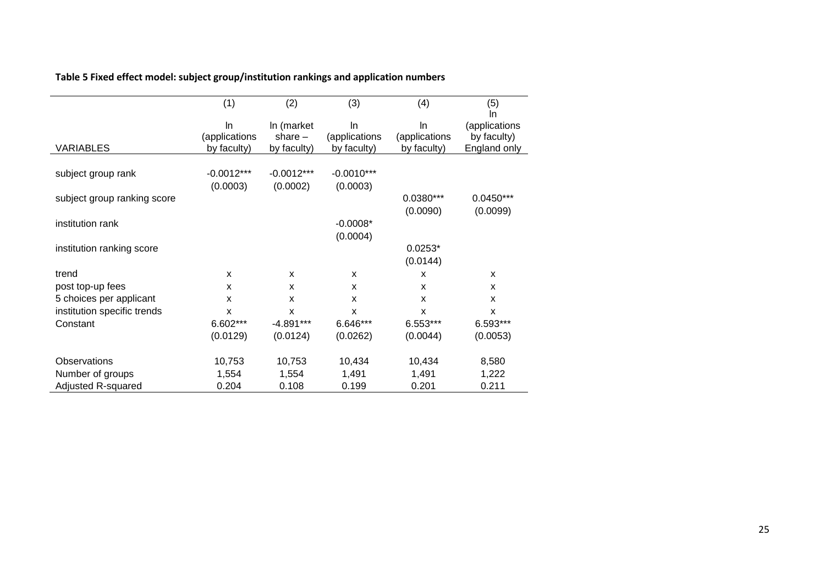# **Table 5 Fixed effect model: subject group/institution rankings and application numbers**

|                             | (1)                                | (2)                                    | (3)                                | (4)                                | (5)                                                |
|-----------------------------|------------------------------------|----------------------------------------|------------------------------------|------------------------------------|----------------------------------------------------|
| <b>VARIABLES</b>            | In<br>(applications<br>by faculty) | In (market<br>share $-$<br>by faculty) | In<br>(applications<br>by faculty) | In<br>(applications<br>by faculty) | In<br>(applications<br>by faculty)<br>England only |
| subject group rank          | $-0.0012***$<br>(0.0003)           | $-0.0012***$<br>(0.0002)               | $-0.0010***$<br>(0.0003)           |                                    |                                                    |
| subject group ranking score |                                    |                                        |                                    | 0.0380***<br>(0.0090)              | $0.0450***$<br>(0.0099)                            |
| institution rank            |                                    |                                        | $-0.0008*$<br>(0.0004)             |                                    |                                                    |
| institution ranking score   |                                    |                                        |                                    | $0.0253*$<br>(0.0144)              |                                                    |
| trend                       | X                                  | X                                      | X                                  | X                                  | X                                                  |
| post top-up fees            | x                                  | X                                      | X                                  | X                                  | X                                                  |
| 5 choices per applicant     | x                                  | X                                      | X                                  | X                                  | X                                                  |
| institution specific trends | x                                  | X                                      | X                                  | X                                  | X                                                  |
| Constant                    | 6.602***                           | $-4.891***$                            | 6.646***                           | 6.553***                           | 6.593***                                           |
|                             | (0.0129)                           | (0.0124)                               | (0.0262)                           | (0.0044)                           | (0.0053)                                           |
| <b>Observations</b>         | 10,753                             | 10,753                                 | 10,434                             | 10,434                             | 8,580                                              |
| Number of groups            | 1,554                              | 1,554                                  | 1,491                              | 1,491                              | 1,222                                              |
| Adjusted R-squared          | 0.204                              | 0.108                                  | 0.199                              | 0.201                              | 0.211                                              |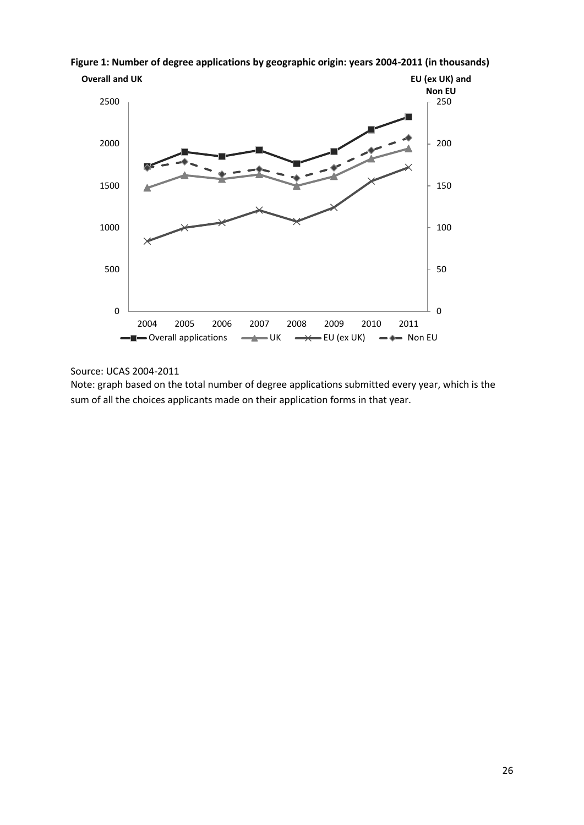

**Figure 1: Number of degree applications by geographic origin: years 2004-2011 (in thousands)**

Source: UCAS 2004-2011

Note: graph based on the total number of degree applications submitted every year, which is the sum of all the choices applicants made on their application forms in that year.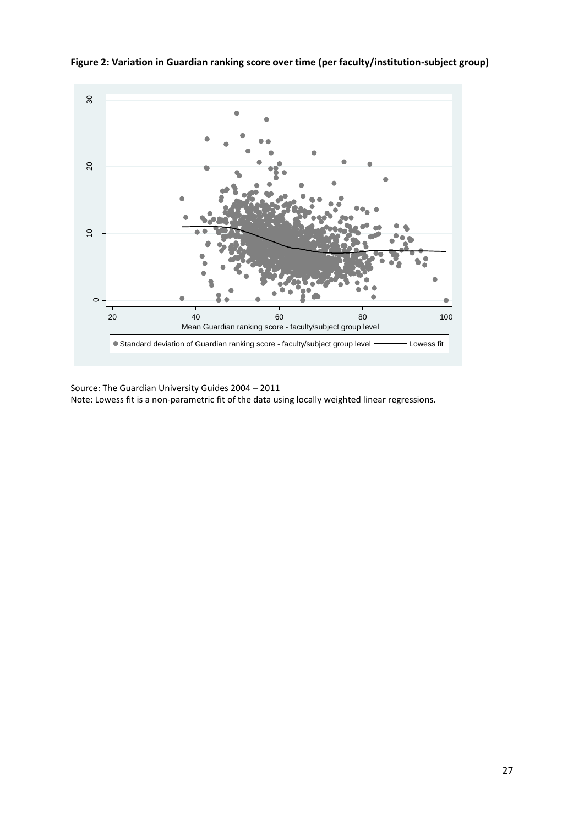

**Figure 2: Variation in Guardian ranking score over time (per faculty/institution-subject group)** 

Source: The Guardian University Guides 2004 – 2011

Note: Lowess fit is a non-parametric fit of the data using locally weighted linear regressions.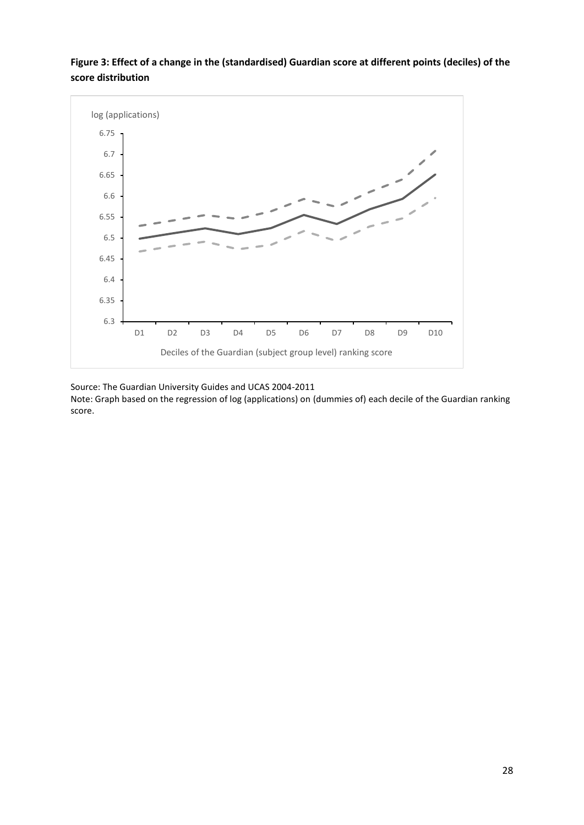### **Figure 3: Effect of a change in the (standardised) Guardian score at different points (deciles) of the score distribution**



Source: The Guardian University Guides and UCAS 2004-2011

Note: Graph based on the regression of log (applications) on (dummies of) each decile of the Guardian ranking score.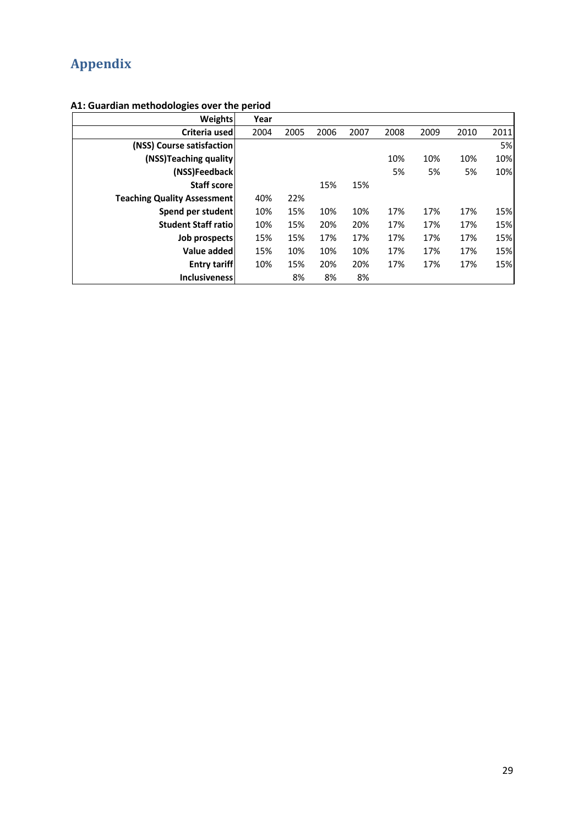# **Appendix**

**A1: Guardian methodologies over the period**

| <b>Weights</b>                     | Year |      |      |      |      |      |      |      |
|------------------------------------|------|------|------|------|------|------|------|------|
| Criteria used                      | 2004 | 2005 | 2006 | 2007 | 2008 | 2009 | 2010 | 2011 |
| (NSS) Course satisfaction          |      |      |      |      |      |      |      | 5%   |
| (NSS)Teaching quality              |      |      |      |      | 10%  | 10%  | 10%  | 10%  |
| (NSS)Feedback                      |      |      |      |      | 5%   | 5%   | 5%   | 10%  |
| <b>Staff score</b>                 |      |      | 15%  | 15%  |      |      |      |      |
| <b>Teaching Quality Assessment</b> | 40%  | 22%  |      |      |      |      |      |      |
| Spend per student                  | 10%  | 15%  | 10%  | 10%  | 17%  | 17%  | 17%  | 15%  |
| <b>Student Staff ratiol</b>        | 10%  | 15%  | 20%  | 20%  | 17%  | 17%  | 17%  | 15%  |
| Job prospects                      | 15%  | 15%  | 17%  | 17%  | 17%  | 17%  | 17%  | 15%  |
| Value added                        | 15%  | 10%  | 10%  | 10%  | 17%  | 17%  | 17%  | 15%  |
| <b>Entry tariff</b>                | 10%  | 15%  | 20%  | 20%  | 17%  | 17%  | 17%  | 15%  |
| <b>Inclusiveness</b>               |      | 8%   | 8%   | 8%   |      |      |      |      |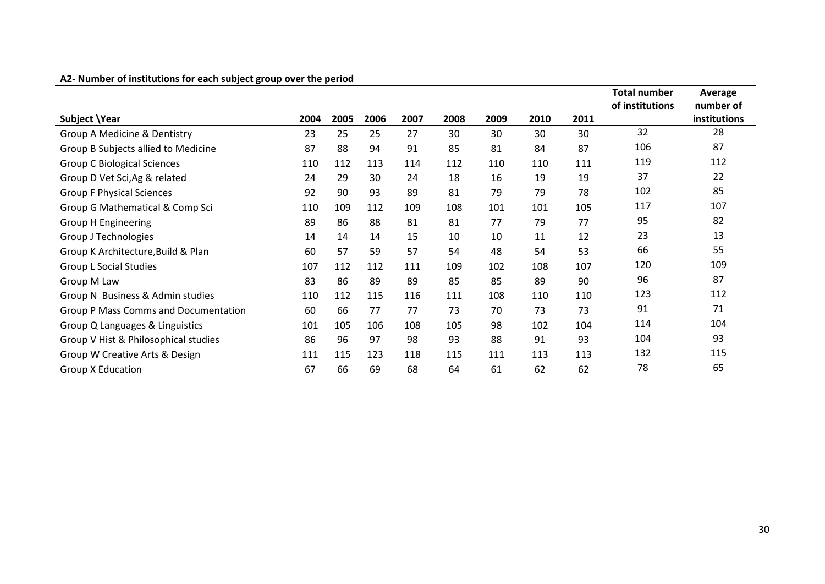|                                             |      |      |      |      |      |      |      |      | <b>Total number</b> | Average      |
|---------------------------------------------|------|------|------|------|------|------|------|------|---------------------|--------------|
|                                             |      |      |      |      |      |      |      |      | of institutions     | number of    |
| Subject \Year                               | 2004 | 2005 | 2006 | 2007 | 2008 | 2009 | 2010 | 2011 |                     | institutions |
| Group A Medicine & Dentistry                | 23   | 25   | 25   | 27   | 30   | 30   | 30   | 30   | 32                  | 28           |
| Group B Subjects allied to Medicine         | 87   | 88   | 94   | 91   | 85   | 81   | 84   | 87   | 106                 | 87           |
| <b>Group C Biological Sciences</b>          | 110  | 112  | 113  | 114  | 112  | 110  | 110  | 111  | 119                 | 112          |
| Group D Vet Sci, Ag & related               | 24   | 29   | 30   | 24   | 18   | 16   | 19   | 19   | 37                  | 22           |
| <b>Group F Physical Sciences</b>            | 92   | 90   | 93   | 89   | 81   | 79   | 79   | 78   | 102                 | 85           |
| Group G Mathematical & Comp Sci             | 110  | 109  | 112  | 109  | 108  | 101  | 101  | 105  | 117                 | 107          |
| <b>Group H Engineering</b>                  | 89   | 86   | 88   | 81   | 81   | 77   | 79   | 77   | 95                  | 82           |
| Group J Technologies                        | 14   | 14   | 14   | 15   | 10   | 10   | 11   | 12   | 23                  | 13           |
| Group K Architecture, Build & Plan          | 60   | 57   | 59   | 57   | 54   | 48   | 54   | 53   | 66                  | 55           |
| <b>Group L Social Studies</b>               | 107  | 112  | 112  | 111  | 109  | 102  | 108  | 107  | 120                 | 109          |
| Group M Law                                 | 83   | 86   | 89   | 89   | 85   | 85   | 89   | 90   | 96                  | 87           |
| Group N Business & Admin studies            | 110  | 112  | 115  | 116  | 111  | 108  | 110  | 110  | 123                 | 112          |
| <b>Group P Mass Comms and Documentation</b> | 60   | 66   | 77   | 77   | 73   | 70   | 73   | 73   | 91                  | 71           |
| Group Q Languages & Linguistics             | 101  | 105  | 106  | 108  | 105  | 98   | 102  | 104  | 114                 | 104          |
| Group V Hist & Philosophical studies        | 86   | 96   | 97   | 98   | 93   | 88   | 91   | 93   | 104                 | 93           |
| Group W Creative Arts & Design              | 111  | 115  | 123  | 118  | 115  | 111  | 113  | 113  | 132                 | 115          |
| <b>Group X Education</b>                    | 67   | 66   | 69   | 68   | 64   | 61   | 62   | 62   | 78                  | 65           |

#### **A2- Number of institutions for each subject group over the period**